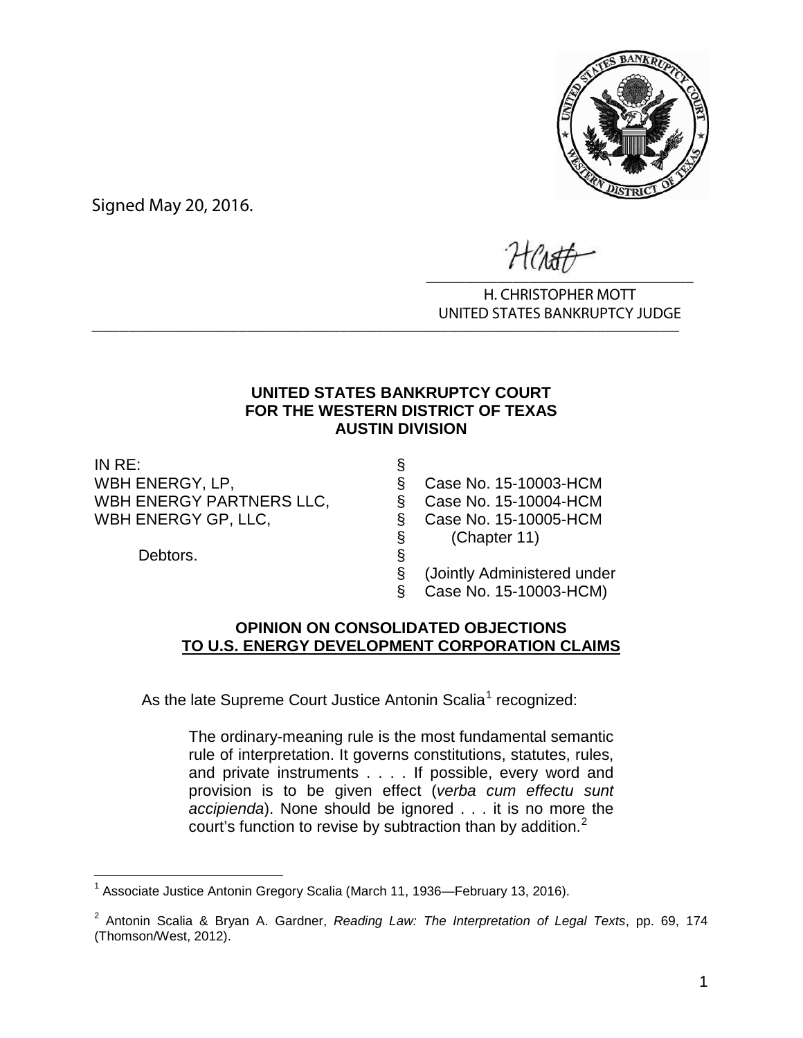

Signed May 20, 2016.

 $\overline{\phantom{a}}$ 

H. CHRISTOPHER MOTT UNITED STATES BANKRUPTCY JUDGE \_\_\_\_\_\_\_\_\_\_\_\_\_\_\_\_\_\_\_\_\_\_\_\_\_\_\_\_\_\_\_\_\_\_\_\_\_\_\_\_\_\_\_\_\_\_\_\_\_\_\_\_\_\_\_\_\_\_\_\_\_\_\_\_

# **UNITED STATES BANKRUPTCY COURT FOR THE WESTERN DISTRICT OF TEXAS AUSTIN DIVISION**

IN RE: § WBH ENERGY PARTNERS LLC,  $\qquad \qquad \& \qquad$  Case No. 15-10004-HCM WBH ENERGY GP, LLC, S. Case No. 15-10005-HCM

Debtors.

WBH ENERGY, LP, S Case No. 15-10003-HCM<br>
WBH ENERGY PARTNERS LLC, § Case No. 15-10004-HCM<br>
WBH ENERGY GP, LLC, § Case No. 15-10005-HCM<br>
S (Chapter 11)<br>
Debtors. § (Jointly Administered under § (Chapter 11)

§ (Jointly Administered under § Case No. 15-10003-HCM)

# **OPINION ON CONSOLIDATED OBJECTIONS TO U.S. ENERGY DEVELOPMENT CORPORATION CLAIMS**

As the late Supreme Court Justice Antonin Scalia<sup>1</sup> recognized:

The ordinary-meaning rule is the most fundamental semantic rule of interpretation. It governs constitutions, statutes, rules, and private instruments . . . . If possible, every word and provision is to be given effect (*verba cum effectu sunt accipienda*). None should be ignored . . . it is no more the court's function to revise by subtraction than by addition. $<sup>2</sup>$ </sup>

 $\overline{a}$ <sup>1</sup> Associate Justice Antonin Gregory Scalia (March 11, 1936—February 13, 2016).

<sup>2</sup> Antonin Scalia & Bryan A. Gardner, *Reading Law: The Interpretation of Legal Texts*, pp. 69, 174 (Thomson/West, 2012).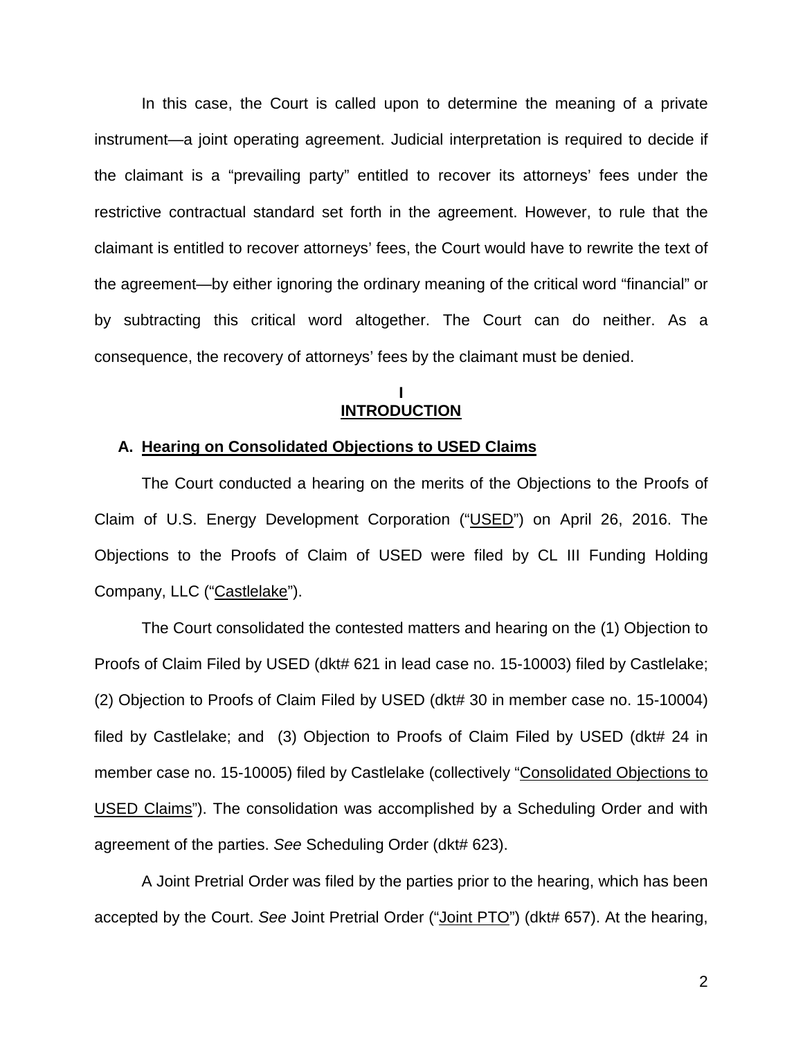In this case, the Court is called upon to determine the meaning of a private instrument—a joint operating agreement. Judicial interpretation is required to decide if the claimant is a "prevailing party" entitled to recover its attorneys' fees under the restrictive contractual standard set forth in the agreement. However, to rule that the claimant is entitled to recover attorneys' fees, the Court would have to rewrite the text of the agreement—by either ignoring the ordinary meaning of the critical word "financial" or by subtracting this critical word altogether. The Court can do neither. As a consequence, the recovery of attorneys' fees by the claimant must be denied.

## **I INTRODUCTION**

### **A. Hearing on Consolidated Objections to USED Claims**

The Court conducted a hearing on the merits of the Objections to the Proofs of Claim of U.S. Energy Development Corporation ("USED") on April 26, 2016. The Objections to the Proofs of Claim of USED were filed by CL III Funding Holding Company, LLC ("Castlelake").

The Court consolidated the contested matters and hearing on the (1) Objection to Proofs of Claim Filed by USED (dkt# 621 in lead case no. 15-10003) filed by Castlelake; (2) Objection to Proofs of Claim Filed by USED (dkt# 30 in member case no. 15-10004) filed by Castlelake; and (3) Objection to Proofs of Claim Filed by USED (dkt# 24 in member case no. 15-10005) filed by Castlelake (collectively "Consolidated Objections to USED Claims"). The consolidation was accomplished by a Scheduling Order and with agreement of the parties. *See* Scheduling Order (dkt# 623).

A Joint Pretrial Order was filed by the parties prior to the hearing, which has been accepted by the Court. *See* Joint Pretrial Order ("Joint PTO") (dkt# 657). At the hearing,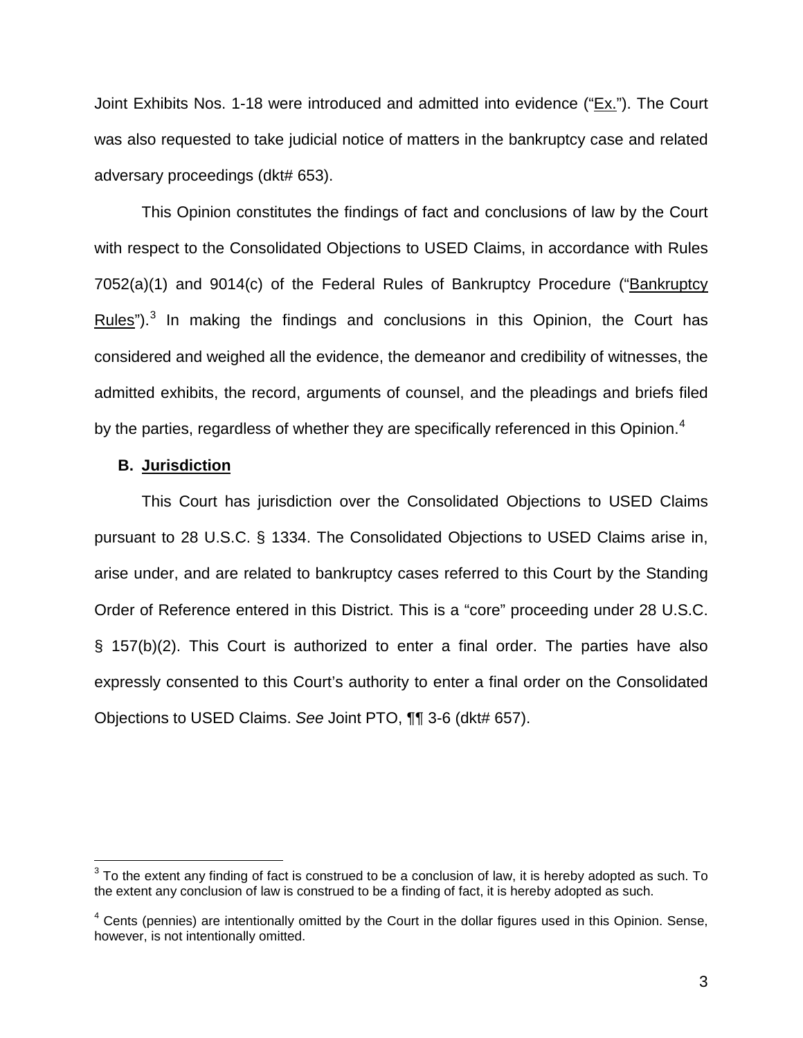Joint Exhibits Nos. 1-18 were introduced and admitted into evidence ("Ex."). The Court was also requested to take judicial notice of matters in the bankruptcy case and related adversary proceedings (dkt# 653).

This Opinion constitutes the findings of fact and conclusions of law by the Court with respect to the Consolidated Objections to USED Claims, in accordance with Rules 7052(a)(1) and 9014(c) of the Federal Rules of Bankruptcy Procedure ("Bankruptcy Rules"). $3$  In making the findings and conclusions in this Opinion, the Court has considered and weighed all the evidence, the demeanor and credibility of witnesses, the admitted exhibits, the record, arguments of counsel, and the pleadings and briefs filed by the parties, regardless of whether they are specifically referenced in this Opinion.<sup>4</sup>

## **B. Jurisdiction**

 $\overline{\phantom{a}}$ 

This Court has jurisdiction over the Consolidated Objections to USED Claims pursuant to 28 U.S.C. § 1334. The Consolidated Objections to USED Claims arise in, arise under, and are related to bankruptcy cases referred to this Court by the Standing Order of Reference entered in this District. This is a "core" proceeding under 28 U.S.C. § 157(b)(2). This Court is authorized to enter a final order. The parties have also expressly consented to this Court's authority to enter a final order on the Consolidated Objections to USED Claims. *See* Joint PTO, ¶¶ 3-6 (dkt# 657).

 $^3$  To the extent any finding of fact is construed to be a conclusion of law, it is hereby adopted as such. To the extent any conclusion of law is construed to be a finding of fact, it is hereby adopted as such.

 $4$  Cents (pennies) are intentionally omitted by the Court in the dollar figures used in this Opinion. Sense, however, is not intentionally omitted.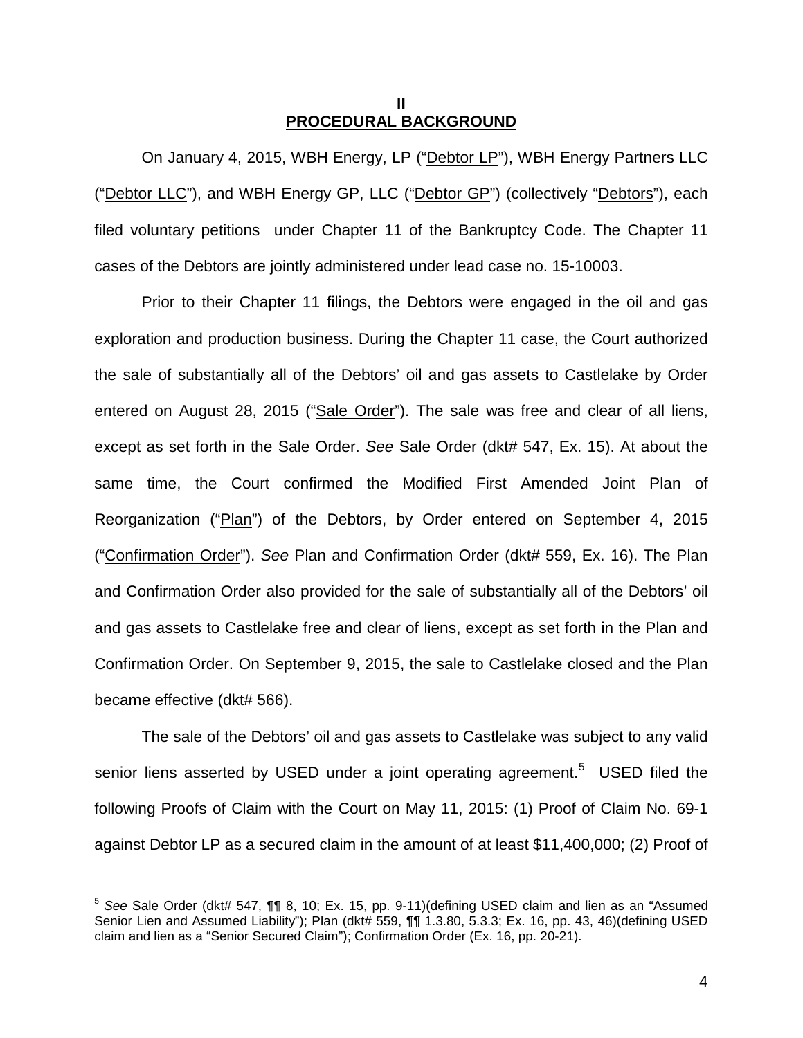## **II PROCEDURAL BACKGROUND**

On January 4, 2015, WBH Energy, LP ("Debtor LP"), WBH Energy Partners LLC ("Debtor LLC"), and WBH Energy GP, LLC ("Debtor GP") (collectively "Debtors"), each filed voluntary petitions under Chapter 11 of the Bankruptcy Code. The Chapter 11 cases of the Debtors are jointly administered under lead case no. 15-10003.

Prior to their Chapter 11 filings, the Debtors were engaged in the oil and gas exploration and production business. During the Chapter 11 case, the Court authorized the sale of substantially all of the Debtors' oil and gas assets to Castlelake by Order entered on August 28, 2015 ("Sale Order"). The sale was free and clear of all liens, except as set forth in the Sale Order. *See* Sale Order (dkt# 547, Ex. 15). At about the same time, the Court confirmed the Modified First Amended Joint Plan of Reorganization ("Plan") of the Debtors, by Order entered on September 4, 2015 ("Confirmation Order"). *See* Plan and Confirmation Order (dkt# 559, Ex. 16). The Plan and Confirmation Order also provided for the sale of substantially all of the Debtors' oil and gas assets to Castlelake free and clear of liens, except as set forth in the Plan and Confirmation Order. On September 9, 2015, the sale to Castlelake closed and the Plan became effective (dkt# 566).

The sale of the Debtors' oil and gas assets to Castlelake was subject to any valid senior liens asserted by USED under a joint operating agreement.<sup>5</sup> USED filed the following Proofs of Claim with the Court on May 11, 2015: (1) Proof of Claim No. 69-1 against Debtor LP as a secured claim in the amount of at least \$11,400,000; (2) Proof of

 $\overline{a}$ 

<sup>5</sup> *See* Sale Order (dkt# 547, ¶¶ 8, 10; Ex. 15, pp. 9-11)(defining USED claim and lien as an "Assumed Senior Lien and Assumed Liability"); Plan (dkt# 559, ¶¶ 1.3.80, 5.3.3; Ex. 16, pp. 43, 46)(defining USED claim and lien as a "Senior Secured Claim"); Confirmation Order (Ex. 16, pp. 20-21).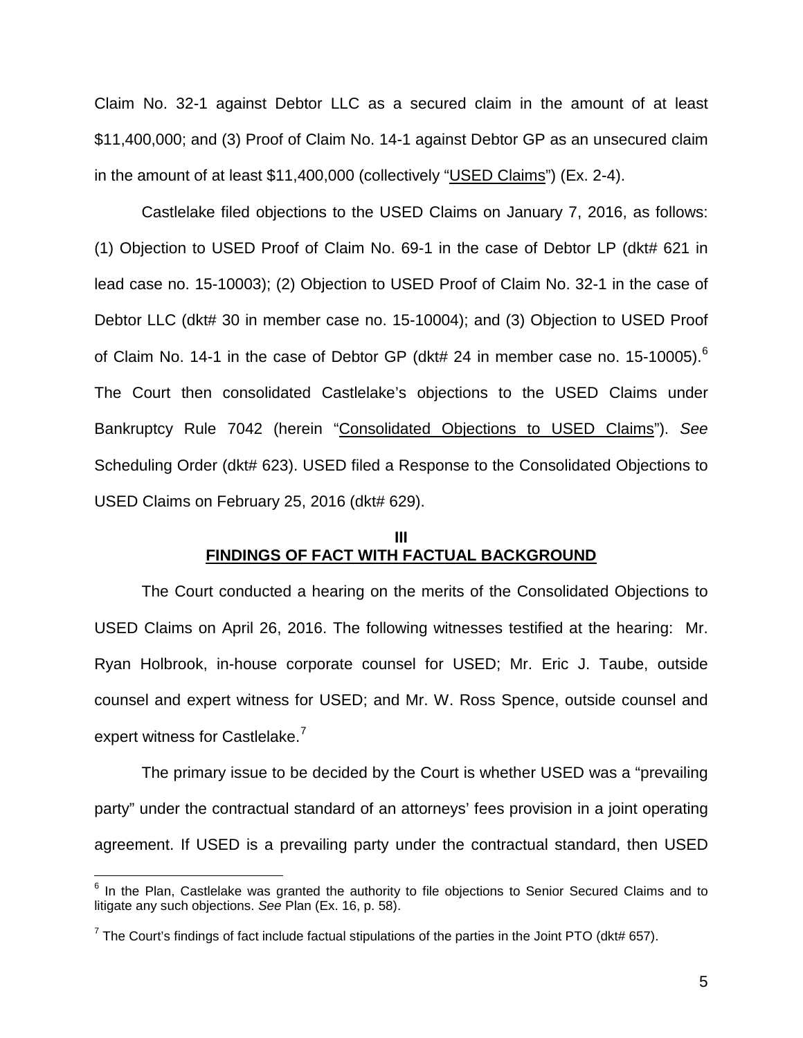Claim No. 32-1 against Debtor LLC as a secured claim in the amount of at least \$11,400,000; and (3) Proof of Claim No. 14-1 against Debtor GP as an unsecured claim in the amount of at least \$11,400,000 (collectively "USED Claims") (Ex. 2-4).

Castlelake filed objections to the USED Claims on January 7, 2016, as follows: (1) Objection to USED Proof of Claim No. 69-1 in the case of Debtor LP (dkt# 621 in lead case no. 15-10003); (2) Objection to USED Proof of Claim No. 32-1 in the case of Debtor LLC (dkt# 30 in member case no. 15-10004); and (3) Objection to USED Proof of Claim No. 14-1 in the case of Debtor GP (dkt# 24 in member case no. 15-10005).<sup>6</sup> The Court then consolidated Castlelake's objections to the USED Claims under Bankruptcy Rule 7042 (herein "Consolidated Objections to USED Claims"). *See* Scheduling Order (dkt# 623). USED filed a Response to the Consolidated Objections to USED Claims on February 25, 2016 (dkt# 629).

## **III FINDINGS OF FACT WITH FACTUAL BACKGROUND**

The Court conducted a hearing on the merits of the Consolidated Objections to USED Claims on April 26, 2016. The following witnesses testified at the hearing: Mr. Ryan Holbrook, in-house corporate counsel for USED; Mr. Eric J. Taube, outside counsel and expert witness for USED; and Mr. W. Ross Spence, outside counsel and expert witness for Castlelake.<sup>7</sup>

The primary issue to be decided by the Court is whether USED was a "prevailing party" under the contractual standard of an attorneys' fees provision in a joint operating agreement. If USED is a prevailing party under the contractual standard, then USED

 $\overline{a}$ 

 $6$  In the Plan, Castlelake was granted the authority to file objections to Senior Secured Claims and to litigate any such objections. *See* Plan (Ex. 16, p. 58).

<sup>&</sup>lt;sup>7</sup> The Court's findings of fact include factual stipulations of the parties in the Joint PTO (dkt# 657).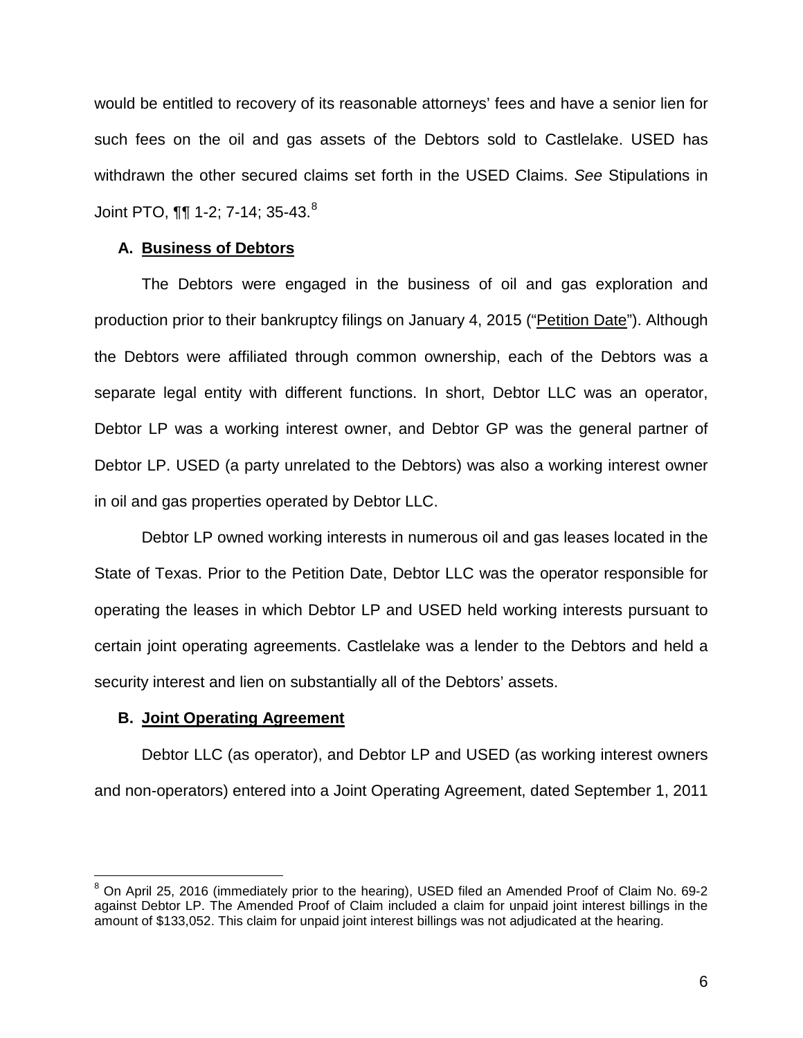would be entitled to recovery of its reasonable attorneys' fees and have a senior lien for such fees on the oil and gas assets of the Debtors sold to Castlelake. USED has withdrawn the other secured claims set forth in the USED Claims. *See* Stipulations in Joint PTO, ¶¶ 1-2; 7-14; 35-43.<sup>8</sup>

## **A. Business of Debtors**

The Debtors were engaged in the business of oil and gas exploration and production prior to their bankruptcy filings on January 4, 2015 ("Petition Date"). Although the Debtors were affiliated through common ownership, each of the Debtors was a separate legal entity with different functions. In short, Debtor LLC was an operator, Debtor LP was a working interest owner, and Debtor GP was the general partner of Debtor LP. USED (a party unrelated to the Debtors) was also a working interest owner in oil and gas properties operated by Debtor LLC.

Debtor LP owned working interests in numerous oil and gas leases located in the State of Texas. Prior to the Petition Date, Debtor LLC was the operator responsible for operating the leases in which Debtor LP and USED held working interests pursuant to certain joint operating agreements. Castlelake was a lender to the Debtors and held a security interest and lien on substantially all of the Debtors' assets.

## **B. Joint Operating Agreement**

 $\overline{a}$ 

Debtor LLC (as operator), and Debtor LP and USED (as working interest owners and non-operators) entered into a Joint Operating Agreement, dated September 1, 2011

<sup>8</sup> On April 25, 2016 (immediately prior to the hearing), USED filed an Amended Proof of Claim No. 69-2 against Debtor LP. The Amended Proof of Claim included a claim for unpaid joint interest billings in the amount of \$133,052. This claim for unpaid joint interest billings was not adjudicated at the hearing.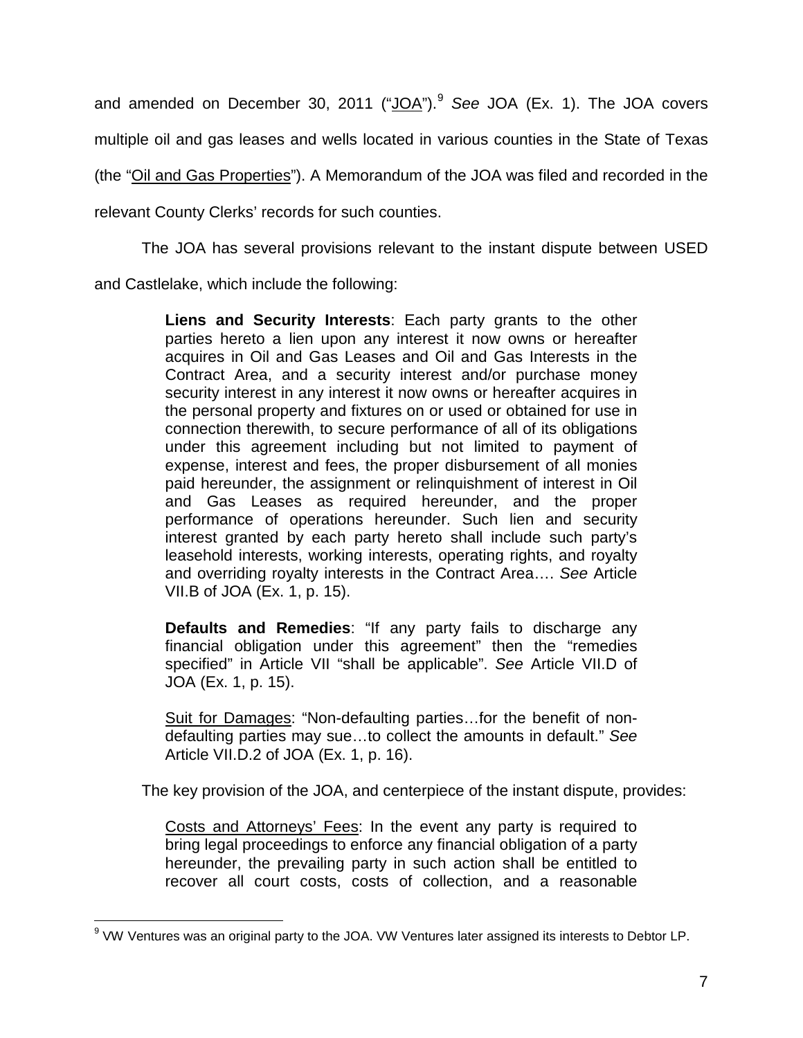and amended on December 30, 2011 ("JOA").<sup>9</sup> See JOA (Ex. 1). The JOA covers multiple oil and gas leases and wells located in various counties in the State of Texas (the "Oil and Gas Properties"). A Memorandum of the JOA was filed and recorded in the relevant County Clerks' records for such counties.

The JOA has several provisions relevant to the instant dispute between USED

and Castlelake, which include the following:

**Liens and Security Interests**: Each party grants to the other parties hereto a lien upon any interest it now owns or hereafter acquires in Oil and Gas Leases and Oil and Gas Interests in the Contract Area, and a security interest and/or purchase money security interest in any interest it now owns or hereafter acquires in the personal property and fixtures on or used or obtained for use in connection therewith, to secure performance of all of its obligations under this agreement including but not limited to payment of expense, interest and fees, the proper disbursement of all monies paid hereunder, the assignment or relinquishment of interest in Oil and Gas Leases as required hereunder, and the proper performance of operations hereunder. Such lien and security interest granted by each party hereto shall include such party's leasehold interests, working interests, operating rights, and royalty and overriding royalty interests in the Contract Area…. *See* Article VII.B of JOA (Ex. 1, p. 15).

**Defaults and Remedies**: "If any party fails to discharge any financial obligation under this agreement" then the "remedies specified" in Article VII "shall be applicable". *See* Article VII.D of JOA (Ex. 1, p. 15).

Suit for Damages: "Non-defaulting parties...for the benefit of nondefaulting parties may sue…to collect the amounts in default." *See* Article VII.D.2 of JOA (Ex. 1, p. 16).

The key provision of the JOA, and centerpiece of the instant dispute, provides:

Costs and Attorneys' Fees: In the event any party is required to bring legal proceedings to enforce any financial obligation of a party hereunder, the prevailing party in such action shall be entitled to recover all court costs, costs of collection, and a reasonable

 $\overline{a}$  $^9$  VW Ventures was an original party to the JOA. VW Ventures later assigned its interests to Debtor LP.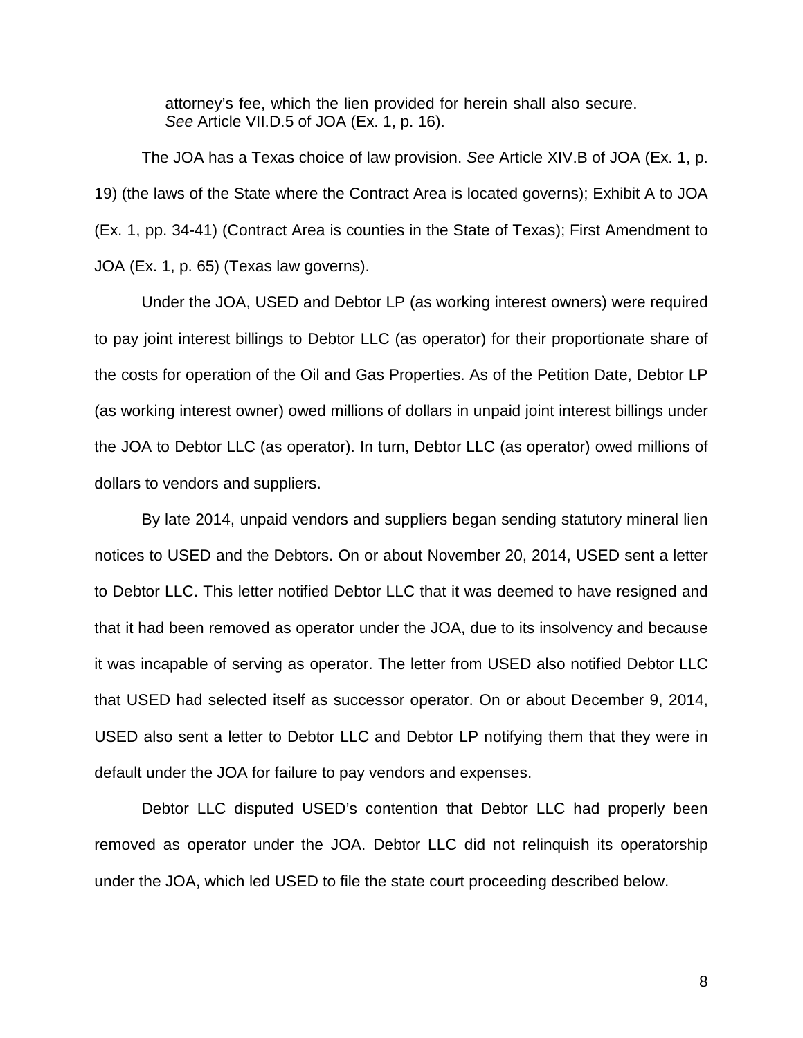attorney's fee, which the lien provided for herein shall also secure. *See* Article VII.D.5 of JOA (Ex. 1, p. 16).

The JOA has a Texas choice of law provision. *See* Article XIV.B of JOA (Ex. 1, p. 19) (the laws of the State where the Contract Area is located governs); Exhibit A to JOA (Ex. 1, pp. 34-41) (Contract Area is counties in the State of Texas); First Amendment to JOA (Ex. 1, p. 65) (Texas law governs).

Under the JOA, USED and Debtor LP (as working interest owners) were required to pay joint interest billings to Debtor LLC (as operator) for their proportionate share of the costs for operation of the Oil and Gas Properties. As of the Petition Date, Debtor LP (as working interest owner) owed millions of dollars in unpaid joint interest billings under the JOA to Debtor LLC (as operator). In turn, Debtor LLC (as operator) owed millions of dollars to vendors and suppliers.

By late 2014, unpaid vendors and suppliers began sending statutory mineral lien notices to USED and the Debtors. On or about November 20, 2014, USED sent a letter to Debtor LLC. This letter notified Debtor LLC that it was deemed to have resigned and that it had been removed as operator under the JOA, due to its insolvency and because it was incapable of serving as operator. The letter from USED also notified Debtor LLC that USED had selected itself as successor operator. On or about December 9, 2014, USED also sent a letter to Debtor LLC and Debtor LP notifying them that they were in default under the JOA for failure to pay vendors and expenses.

Debtor LLC disputed USED's contention that Debtor LLC had properly been removed as operator under the JOA. Debtor LLC did not relinquish its operatorship under the JOA, which led USED to file the state court proceeding described below.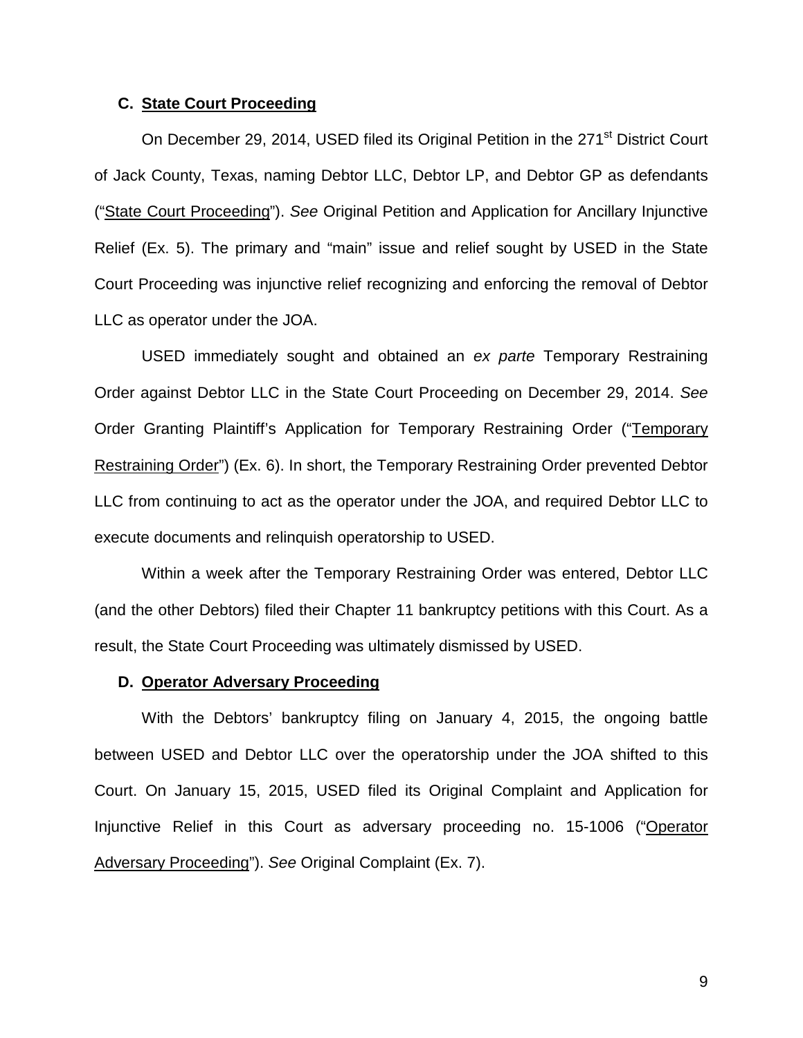### **C. State Court Proceeding**

On December 29, 2014, USED filed its Original Petition in the 271<sup>st</sup> District Court of Jack County, Texas, naming Debtor LLC, Debtor LP, and Debtor GP as defendants ("State Court Proceeding"). *See* Original Petition and Application for Ancillary Injunctive Relief (Ex. 5). The primary and "main" issue and relief sought by USED in the State Court Proceeding was injunctive relief recognizing and enforcing the removal of Debtor LLC as operator under the JOA.

USED immediately sought and obtained an *ex parte* Temporary Restraining Order against Debtor LLC in the State Court Proceeding on December 29, 2014. *See* Order Granting Plaintiff's Application for Temporary Restraining Order ("Temporary Restraining Order") (Ex. 6). In short, the Temporary Restraining Order prevented Debtor LLC from continuing to act as the operator under the JOA, and required Debtor LLC to execute documents and relinquish operatorship to USED.

Within a week after the Temporary Restraining Order was entered, Debtor LLC (and the other Debtors) filed their Chapter 11 bankruptcy petitions with this Court. As a result, the State Court Proceeding was ultimately dismissed by USED.

### **D. Operator Adversary Proceeding**

With the Debtors' bankruptcy filing on January 4, 2015, the ongoing battle between USED and Debtor LLC over the operatorship under the JOA shifted to this Court. On January 15, 2015, USED filed its Original Complaint and Application for Injunctive Relief in this Court as adversary proceeding no. 15-1006 ("Operator Adversary Proceeding"). *See* Original Complaint (Ex. 7).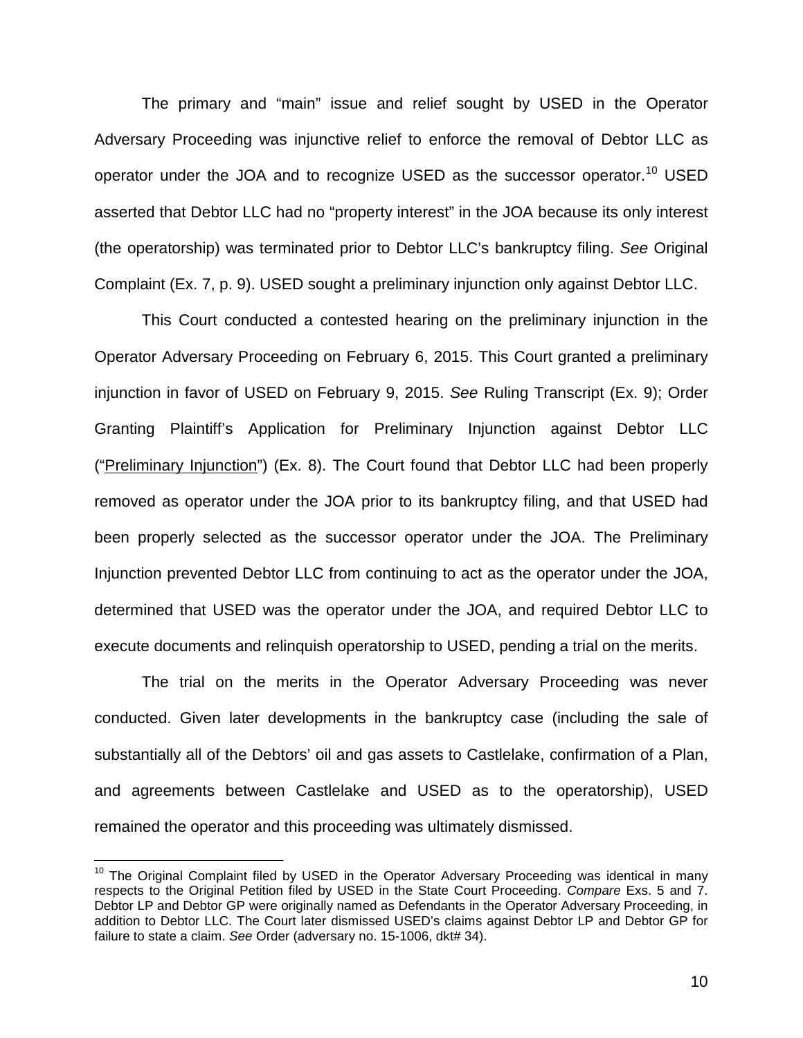The primary and "main" issue and relief sought by USED in the Operator Adversary Proceeding was injunctive relief to enforce the removal of Debtor LLC as operator under the JOA and to recognize USED as the successor operator.<sup>10</sup> USED asserted that Debtor LLC had no "property interest" in the JOA because its only interest (the operatorship) was terminated prior to Debtor LLC's bankruptcy filing. *See* Original Complaint (Ex. 7, p. 9). USED sought a preliminary injunction only against Debtor LLC.

This Court conducted a contested hearing on the preliminary injunction in the Operator Adversary Proceeding on February 6, 2015. This Court granted a preliminary injunction in favor of USED on February 9, 2015. *See* Ruling Transcript (Ex. 9); Order Granting Plaintiff's Application for Preliminary Injunction against Debtor LLC ("Preliminary Injunction") (Ex. 8). The Court found that Debtor LLC had been properly removed as operator under the JOA prior to its bankruptcy filing, and that USED had been properly selected as the successor operator under the JOA. The Preliminary Injunction prevented Debtor LLC from continuing to act as the operator under the JOA, determined that USED was the operator under the JOA, and required Debtor LLC to execute documents and relinquish operatorship to USED, pending a trial on the merits.

The trial on the merits in the Operator Adversary Proceeding was never conducted. Given later developments in the bankruptcy case (including the sale of substantially all of the Debtors' oil and gas assets to Castlelake, confirmation of a Plan, and agreements between Castlelake and USED as to the operatorship), USED remained the operator and this proceeding was ultimately dismissed.

 $\overline{\phantom{a}}$ 

 $10$  The Original Complaint filed by USED in the Operator Adversary Proceeding was identical in many respects to the Original Petition filed by USED in the State Court Proceeding. *Compare* Exs. 5 and 7. Debtor LP and Debtor GP were originally named as Defendants in the Operator Adversary Proceeding, in addition to Debtor LLC. The Court later dismissed USED's claims against Debtor LP and Debtor GP for failure to state a claim. *See* Order (adversary no. 15-1006, dkt# 34).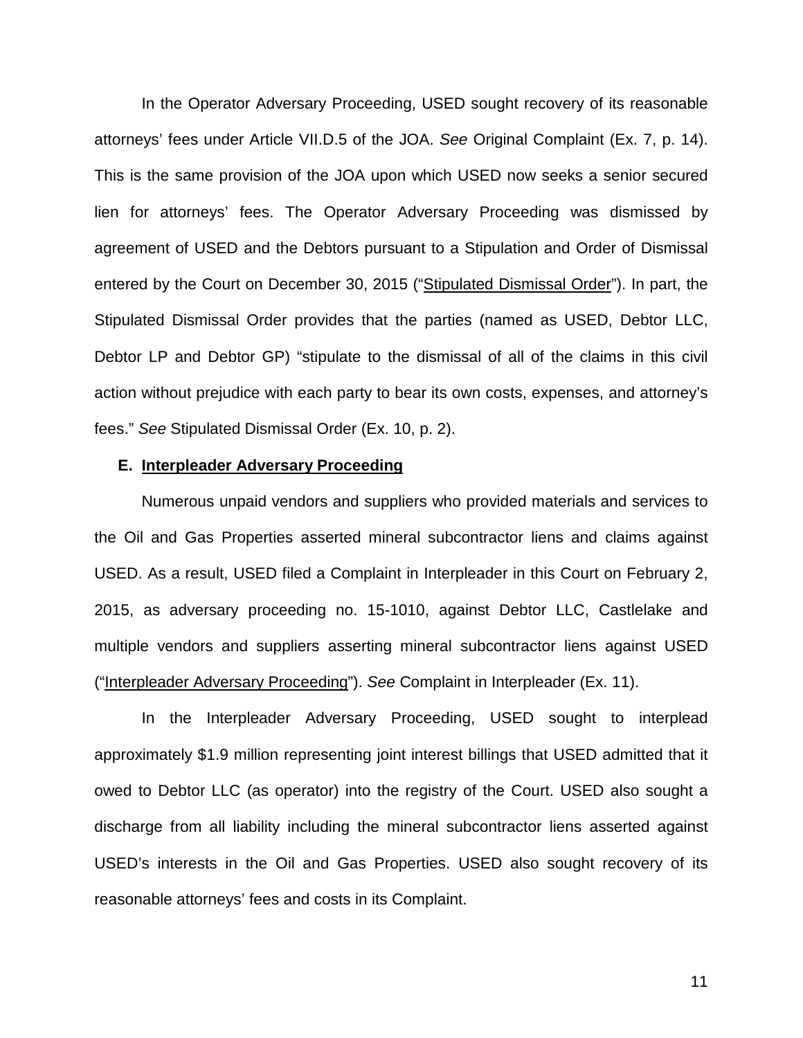In the Operator Adversary Proceeding, USED sought recovery of its reasonable attorneys' fees under Article VII.D.5 of the JOA. *See* Original Complaint (Ex. 7, p. 14). This is the same provision of the JOA upon which USED now seeks a senior secured lien for attorneys' fees. The Operator Adversary Proceeding was dismissed by agreement of USED and the Debtors pursuant to a Stipulation and Order of Dismissal entered by the Court on December 30, 2015 ("Stipulated Dismissal Order"). In part, the Stipulated Dismissal Order provides that the parties (named as USED, Debtor LLC, Debtor LP and Debtor GP) "stipulate to the dismissal of all of the claims in this civil action without prejudice with each party to bear its own costs, expenses, and attorney's fees." *See* Stipulated Dismissal Order (Ex. 10, p. 2).

## **E. Interpleader Adversary Proceeding**

Numerous unpaid vendors and suppliers who provided materials and services to the Oil and Gas Properties asserted mineral subcontractor liens and claims against USED. As a result, USED filed a Complaint in Interpleader in this Court on February 2, 2015, as adversary proceeding no. 15-1010, against Debtor LLC, Castlelake and multiple vendors and suppliers asserting mineral subcontractor liens against USED ("Interpleader Adversary Proceeding"). *See* Complaint in Interpleader (Ex. 11).

In the Interpleader Adversary Proceeding, USED sought to interplead approximately \$1.9 million representing joint interest billings that USED admitted that it owed to Debtor LLC (as operator) into the registry of the Court. USED also sought a discharge from all liability including the mineral subcontractor liens asserted against USED's interests in the Oil and Gas Properties. USED also sought recovery of its reasonable attorneys' fees and costs in its Complaint.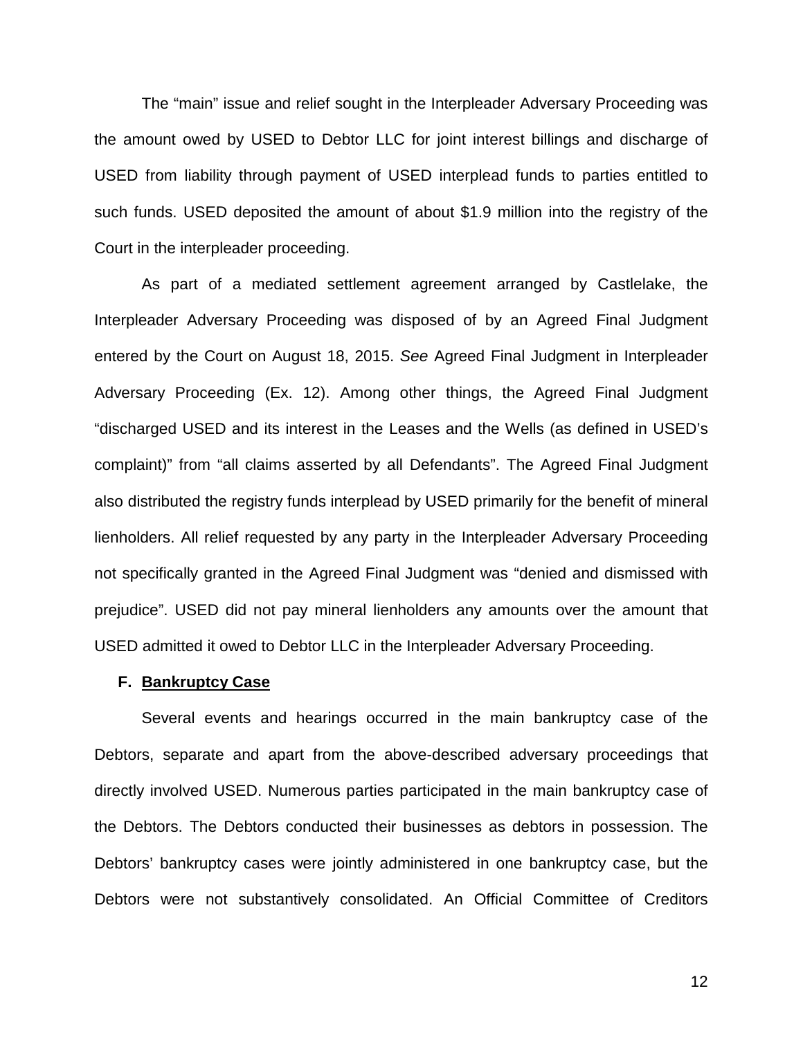The "main" issue and relief sought in the Interpleader Adversary Proceeding was the amount owed by USED to Debtor LLC for joint interest billings and discharge of USED from liability through payment of USED interplead funds to parties entitled to such funds. USED deposited the amount of about \$1.9 million into the registry of the Court in the interpleader proceeding.

As part of a mediated settlement agreement arranged by Castlelake, the Interpleader Adversary Proceeding was disposed of by an Agreed Final Judgment entered by the Court on August 18, 2015. *See* Agreed Final Judgment in Interpleader Adversary Proceeding (Ex. 12). Among other things, the Agreed Final Judgment "discharged USED and its interest in the Leases and the Wells (as defined in USED's complaint)" from "all claims asserted by all Defendants". The Agreed Final Judgment also distributed the registry funds interplead by USED primarily for the benefit of mineral lienholders. All relief requested by any party in the Interpleader Adversary Proceeding not specifically granted in the Agreed Final Judgment was "denied and dismissed with prejudice". USED did not pay mineral lienholders any amounts over the amount that USED admitted it owed to Debtor LLC in the Interpleader Adversary Proceeding.

#### **F. Bankruptcy Case**

Several events and hearings occurred in the main bankruptcy case of the Debtors, separate and apart from the above-described adversary proceedings that directly involved USED. Numerous parties participated in the main bankruptcy case of the Debtors. The Debtors conducted their businesses as debtors in possession. The Debtors' bankruptcy cases were jointly administered in one bankruptcy case, but the Debtors were not substantively consolidated. An Official Committee of Creditors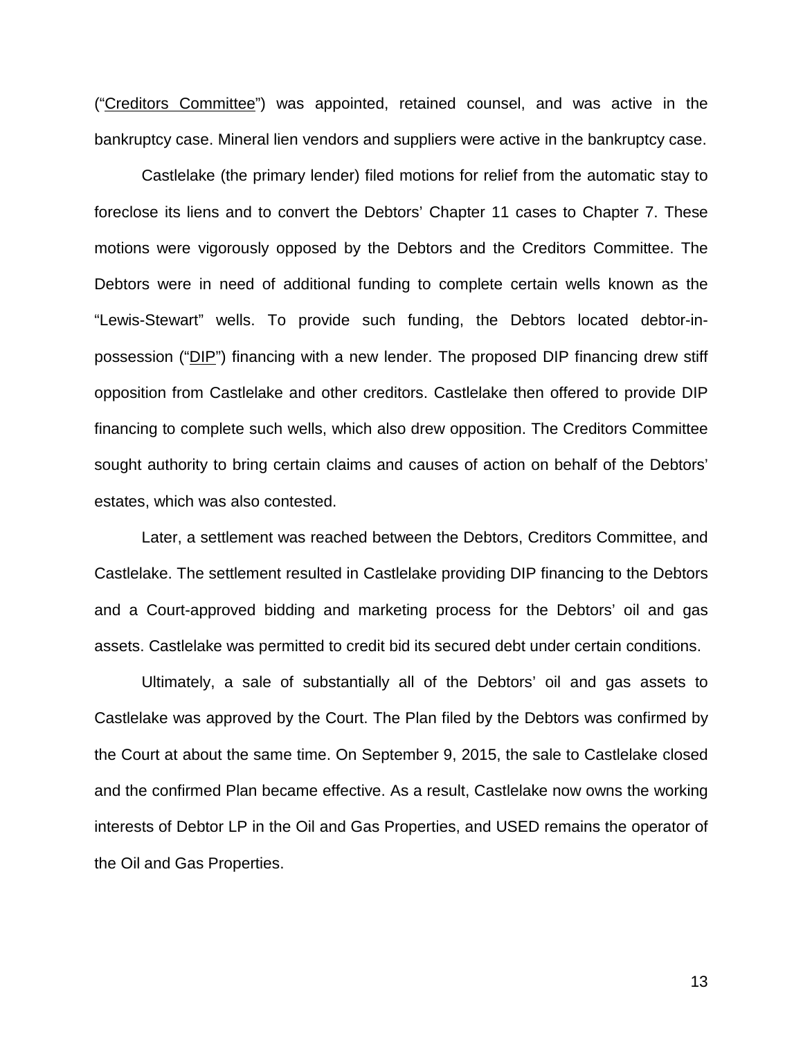("Creditors Committee") was appointed, retained counsel, and was active in the bankruptcy case. Mineral lien vendors and suppliers were active in the bankruptcy case.

Castlelake (the primary lender) filed motions for relief from the automatic stay to foreclose its liens and to convert the Debtors' Chapter 11 cases to Chapter 7. These motions were vigorously opposed by the Debtors and the Creditors Committee. The Debtors were in need of additional funding to complete certain wells known as the "Lewis-Stewart" wells. To provide such funding, the Debtors located debtor-inpossession ("DIP") financing with a new lender. The proposed DIP financing drew stiff opposition from Castlelake and other creditors. Castlelake then offered to provide DIP financing to complete such wells, which also drew opposition. The Creditors Committee sought authority to bring certain claims and causes of action on behalf of the Debtors' estates, which was also contested.

Later, a settlement was reached between the Debtors, Creditors Committee, and Castlelake. The settlement resulted in Castlelake providing DIP financing to the Debtors and a Court-approved bidding and marketing process for the Debtors' oil and gas assets. Castlelake was permitted to credit bid its secured debt under certain conditions.

Ultimately, a sale of substantially all of the Debtors' oil and gas assets to Castlelake was approved by the Court. The Plan filed by the Debtors was confirmed by the Court at about the same time. On September 9, 2015, the sale to Castlelake closed and the confirmed Plan became effective. As a result, Castlelake now owns the working interests of Debtor LP in the Oil and Gas Properties, and USED remains the operator of the Oil and Gas Properties.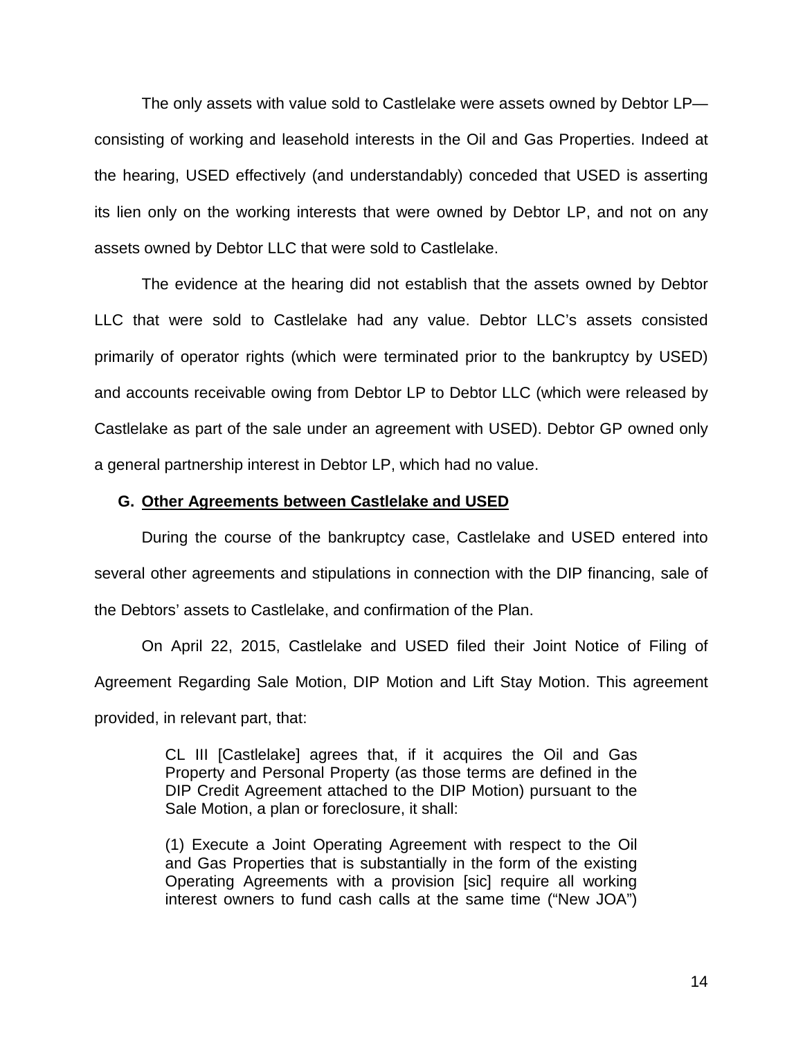The only assets with value sold to Castlelake were assets owned by Debtor LP consisting of working and leasehold interests in the Oil and Gas Properties. Indeed at the hearing, USED effectively (and understandably) conceded that USED is asserting its lien only on the working interests that were owned by Debtor LP, and not on any assets owned by Debtor LLC that were sold to Castlelake.

The evidence at the hearing did not establish that the assets owned by Debtor LLC that were sold to Castlelake had any value. Debtor LLC's assets consisted primarily of operator rights (which were terminated prior to the bankruptcy by USED) and accounts receivable owing from Debtor LP to Debtor LLC (which were released by Castlelake as part of the sale under an agreement with USED). Debtor GP owned only a general partnership interest in Debtor LP, which had no value.

## **G. Other Agreements between Castlelake and USED**

During the course of the bankruptcy case, Castlelake and USED entered into several other agreements and stipulations in connection with the DIP financing, sale of the Debtors' assets to Castlelake, and confirmation of the Plan.

On April 22, 2015, Castlelake and USED filed their Joint Notice of Filing of Agreement Regarding Sale Motion, DIP Motion and Lift Stay Motion. This agreement provided, in relevant part, that:

> CL III [Castlelake] agrees that, if it acquires the Oil and Gas Property and Personal Property (as those terms are defined in the DIP Credit Agreement attached to the DIP Motion) pursuant to the Sale Motion, a plan or foreclosure, it shall:

> (1) Execute a Joint Operating Agreement with respect to the Oil and Gas Properties that is substantially in the form of the existing Operating Agreements with a provision [sic] require all working interest owners to fund cash calls at the same time ("New JOA")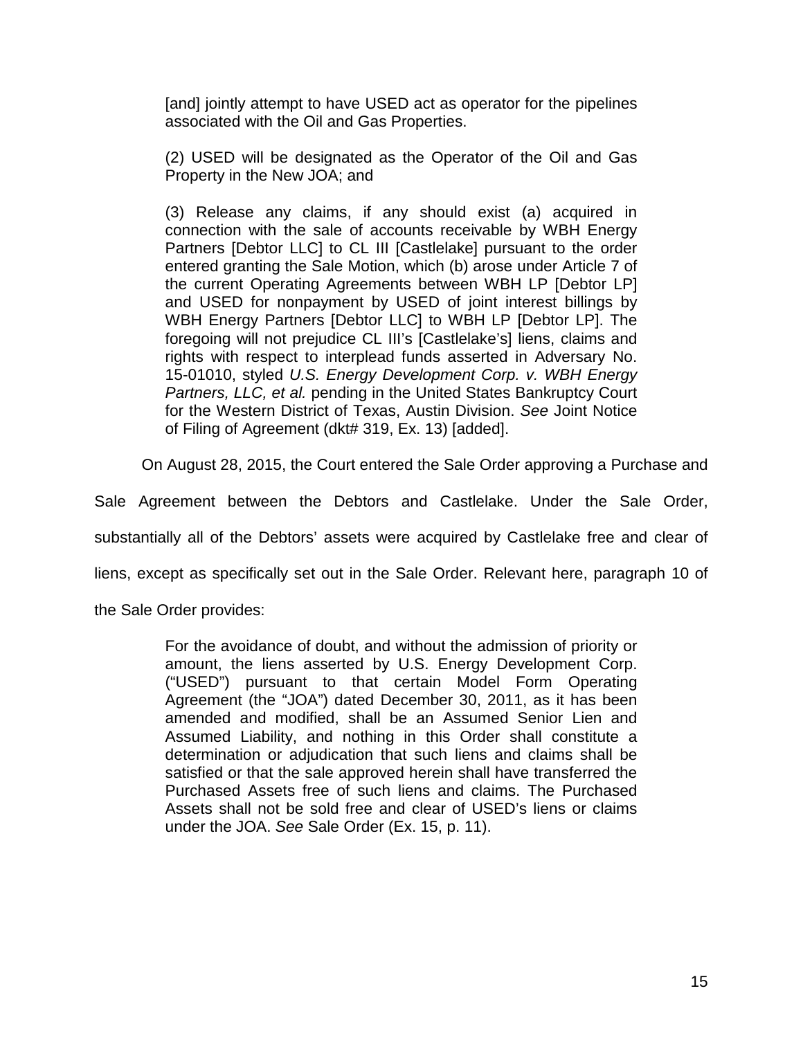[and] jointly attempt to have USED act as operator for the pipelines associated with the Oil and Gas Properties.

(2) USED will be designated as the Operator of the Oil and Gas Property in the New JOA; and

(3) Release any claims, if any should exist (a) acquired in connection with the sale of accounts receivable by WBH Energy Partners [Debtor LLC] to CL III [Castlelake] pursuant to the order entered granting the Sale Motion, which (b) arose under Article 7 of the current Operating Agreements between WBH LP [Debtor LP] and USED for nonpayment by USED of joint interest billings by WBH Energy Partners [Debtor LLC] to WBH LP [Debtor LP]. The foregoing will not prejudice CL III's [Castlelake's] liens, claims and rights with respect to interplead funds asserted in Adversary No. 15-01010, styled *U.S. Energy Development Corp. v. WBH Energy Partners, LLC, et al.* pending in the United States Bankruptcy Court for the Western District of Texas, Austin Division. *See* Joint Notice of Filing of Agreement (dkt# 319, Ex. 13) [added].

On August 28, 2015, the Court entered the Sale Order approving a Purchase and

Sale Agreement between the Debtors and Castlelake. Under the Sale Order,

substantially all of the Debtors' assets were acquired by Castlelake free and clear of

liens, except as specifically set out in the Sale Order. Relevant here, paragraph 10 of

the Sale Order provides:

For the avoidance of doubt, and without the admission of priority or amount, the liens asserted by U.S. Energy Development Corp. ("USED") pursuant to that certain Model Form Operating Agreement (the "JOA") dated December 30, 2011, as it has been amended and modified, shall be an Assumed Senior Lien and Assumed Liability, and nothing in this Order shall constitute a determination or adjudication that such liens and claims shall be satisfied or that the sale approved herein shall have transferred the Purchased Assets free of such liens and claims. The Purchased Assets shall not be sold free and clear of USED's liens or claims under the JOA. *See* Sale Order (Ex. 15, p. 11).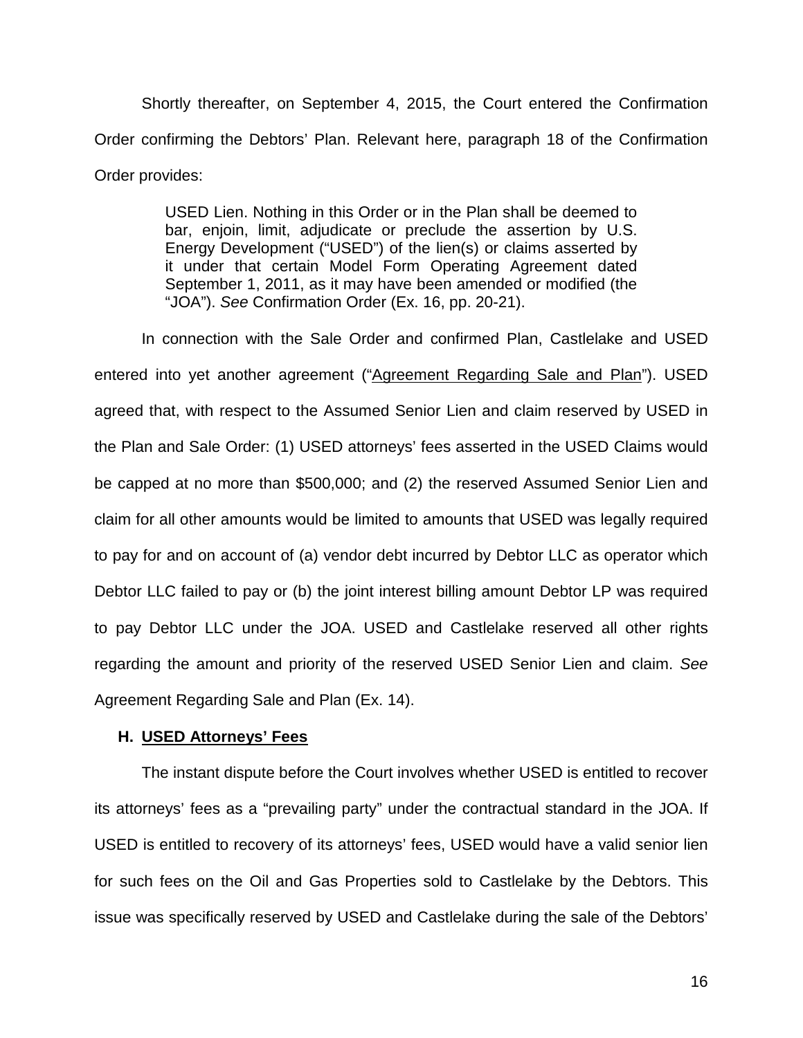Shortly thereafter, on September 4, 2015, the Court entered the Confirmation Order confirming the Debtors' Plan. Relevant here, paragraph 18 of the Confirmation Order provides:

> USED Lien. Nothing in this Order or in the Plan shall be deemed to bar, enjoin, limit, adjudicate or preclude the assertion by U.S. Energy Development ("USED") of the lien(s) or claims asserted by it under that certain Model Form Operating Agreement dated September 1, 2011, as it may have been amended or modified (the "JOA"). *See* Confirmation Order (Ex. 16, pp. 20-21).

In connection with the Sale Order and confirmed Plan, Castlelake and USED entered into yet another agreement ("Agreement Regarding Sale and Plan"). USED agreed that, with respect to the Assumed Senior Lien and claim reserved by USED in the Plan and Sale Order: (1) USED attorneys' fees asserted in the USED Claims would be capped at no more than \$500,000; and (2) the reserved Assumed Senior Lien and claim for all other amounts would be limited to amounts that USED was legally required to pay for and on account of (a) vendor debt incurred by Debtor LLC as operator which Debtor LLC failed to pay or (b) the joint interest billing amount Debtor LP was required to pay Debtor LLC under the JOA. USED and Castlelake reserved all other rights regarding the amount and priority of the reserved USED Senior Lien and claim. *See* Agreement Regarding Sale and Plan (Ex. 14).

## **H. USED Attorneys' Fees**

The instant dispute before the Court involves whether USED is entitled to recover its attorneys' fees as a "prevailing party" under the contractual standard in the JOA. If USED is entitled to recovery of its attorneys' fees, USED would have a valid senior lien for such fees on the Oil and Gas Properties sold to Castlelake by the Debtors. This issue was specifically reserved by USED and Castlelake during the sale of the Debtors'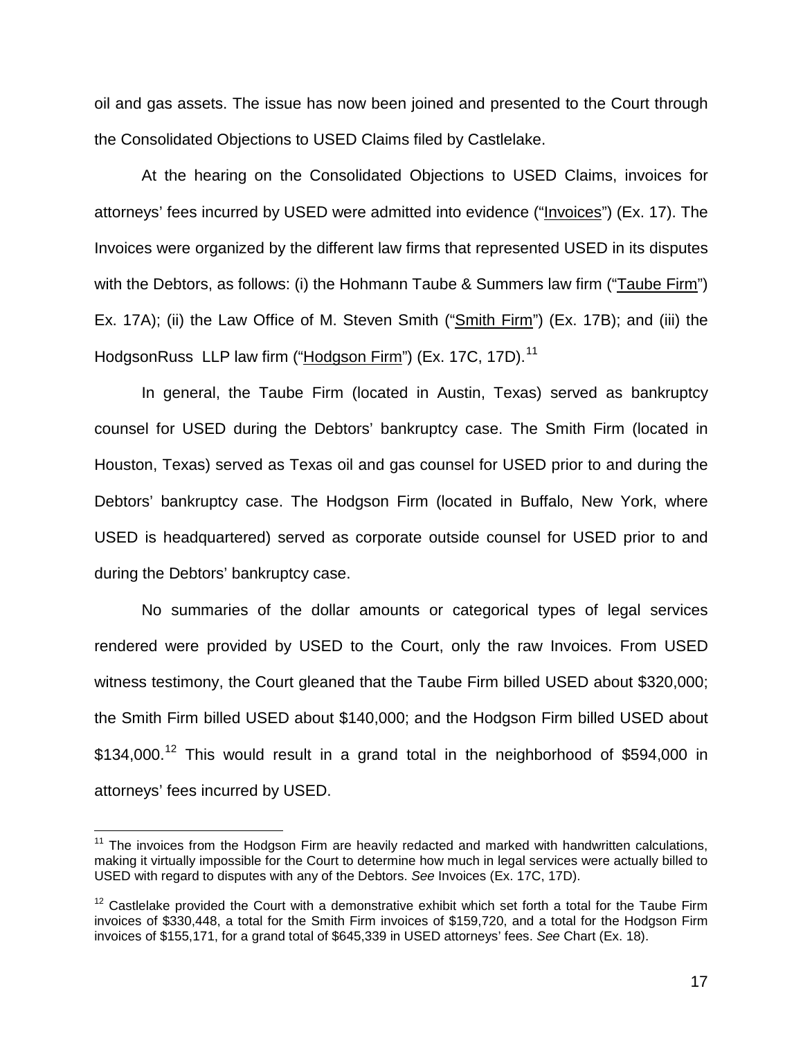oil and gas assets. The issue has now been joined and presented to the Court through the Consolidated Objections to USED Claims filed by Castlelake.

At the hearing on the Consolidated Objections to USED Claims, invoices for attorneys' fees incurred by USED were admitted into evidence ("Invoices") (Ex. 17). The Invoices were organized by the different law firms that represented USED in its disputes with the Debtors, as follows: (i) the Hohmann Taube & Summers law firm ("Taube Firm") Ex. 17A); (ii) the Law Office of M. Steven Smith ("Smith Firm") (Ex. 17B); and (iii) the HodgsonRuss LLP law firm ("Hodgson Firm") (Ex. 17C, 17D).<sup>11</sup>

In general, the Taube Firm (located in Austin, Texas) served as bankruptcy counsel for USED during the Debtors' bankruptcy case. The Smith Firm (located in Houston, Texas) served as Texas oil and gas counsel for USED prior to and during the Debtors' bankruptcy case. The Hodgson Firm (located in Buffalo, New York, where USED is headquartered) served as corporate outside counsel for USED prior to and during the Debtors' bankruptcy case.

No summaries of the dollar amounts or categorical types of legal services rendered were provided by USED to the Court, only the raw Invoices. From USED witness testimony, the Court gleaned that the Taube Firm billed USED about \$320,000; the Smith Firm billed USED about \$140,000; and the Hodgson Firm billed USED about \$134,000.<sup>12</sup> This would result in a grand total in the neighborhood of \$594,000 in attorneys' fees incurred by USED.

 $\overline{\phantom{a}}$ 

 $11$  The invoices from the Hodgson Firm are heavily redacted and marked with handwritten calculations, making it virtually impossible for the Court to determine how much in legal services were actually billed to USED with regard to disputes with any of the Debtors. *See* Invoices (Ex. 17C, 17D).

 $12$  Castlelake provided the Court with a demonstrative exhibit which set forth a total for the Taube Firm invoices of \$330,448, a total for the Smith Firm invoices of \$159,720, and a total for the Hodgson Firm invoices of \$155,171, for a grand total of \$645,339 in USED attorneys' fees. *See* Chart (Ex. 18).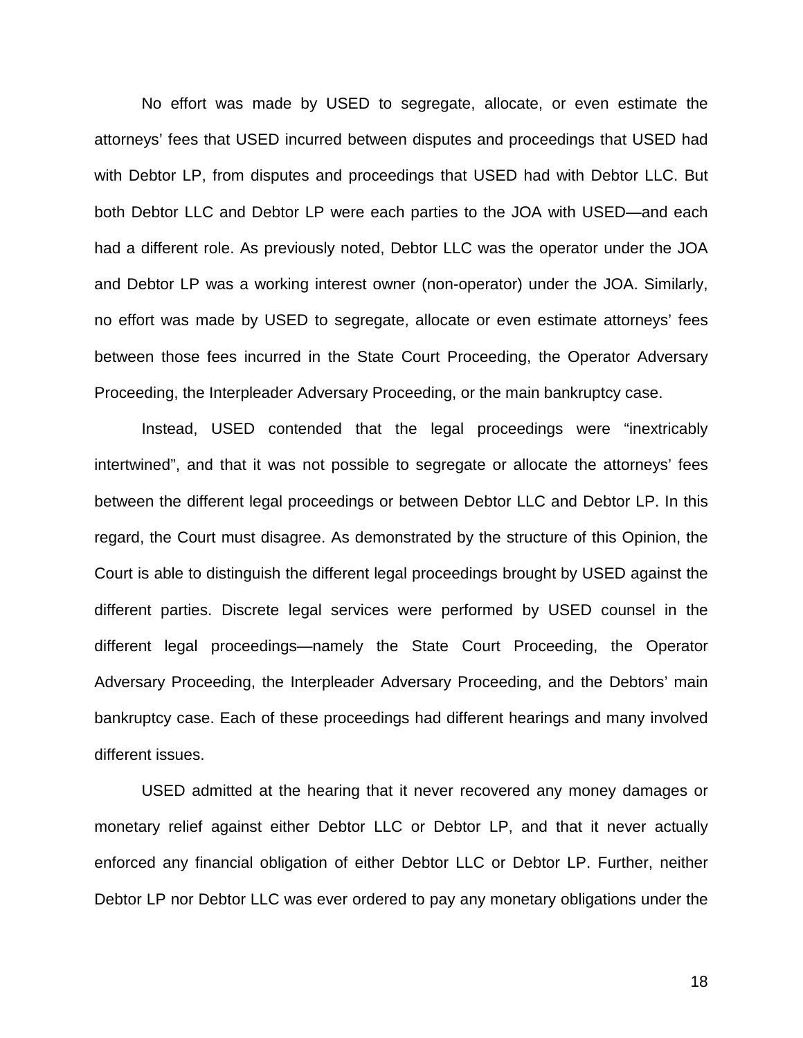No effort was made by USED to segregate, allocate, or even estimate the attorneys' fees that USED incurred between disputes and proceedings that USED had with Debtor LP, from disputes and proceedings that USED had with Debtor LLC. But both Debtor LLC and Debtor LP were each parties to the JOA with USED—and each had a different role. As previously noted, Debtor LLC was the operator under the JOA and Debtor LP was a working interest owner (non-operator) under the JOA. Similarly, no effort was made by USED to segregate, allocate or even estimate attorneys' fees between those fees incurred in the State Court Proceeding, the Operator Adversary Proceeding, the Interpleader Adversary Proceeding, or the main bankruptcy case.

Instead, USED contended that the legal proceedings were "inextricably intertwined", and that it was not possible to segregate or allocate the attorneys' fees between the different legal proceedings or between Debtor LLC and Debtor LP. In this regard, the Court must disagree. As demonstrated by the structure of this Opinion, the Court is able to distinguish the different legal proceedings brought by USED against the different parties. Discrete legal services were performed by USED counsel in the different legal proceedings—namely the State Court Proceeding, the Operator Adversary Proceeding, the Interpleader Adversary Proceeding, and the Debtors' main bankruptcy case. Each of these proceedings had different hearings and many involved different issues.

 USED admitted at the hearing that it never recovered any money damages or monetary relief against either Debtor LLC or Debtor LP, and that it never actually enforced any financial obligation of either Debtor LLC or Debtor LP. Further, neither Debtor LP nor Debtor LLC was ever ordered to pay any monetary obligations under the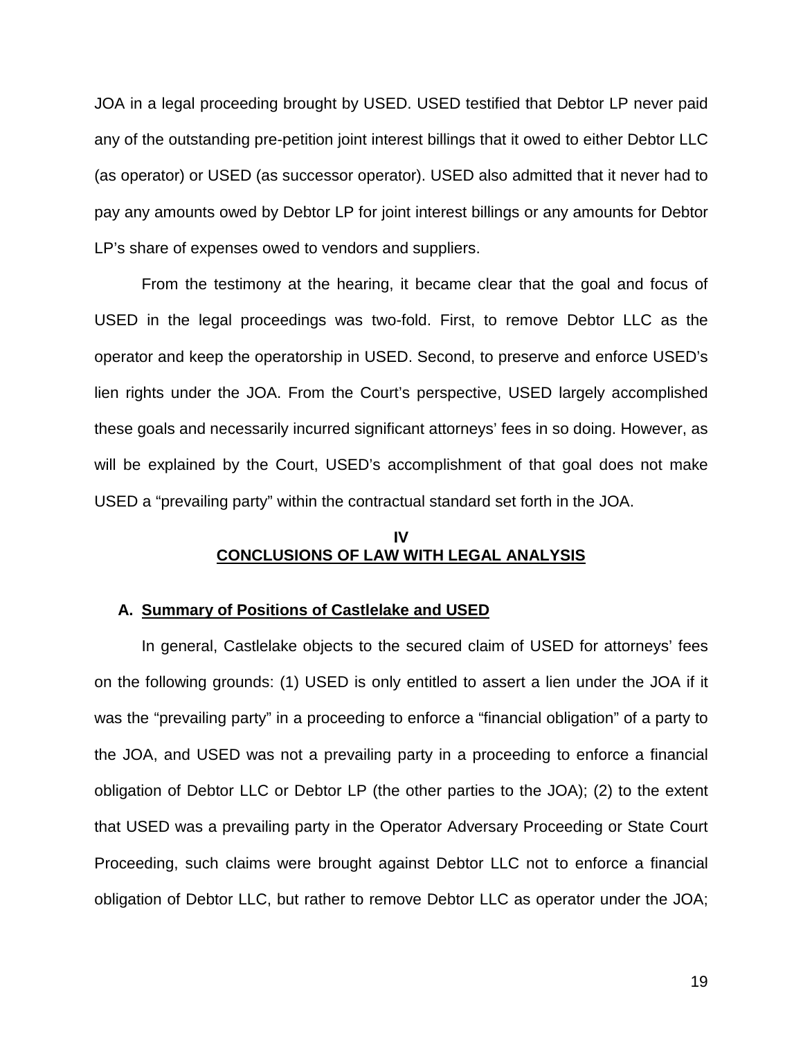JOA in a legal proceeding brought by USED. USED testified that Debtor LP never paid any of the outstanding pre-petition joint interest billings that it owed to either Debtor LLC (as operator) or USED (as successor operator). USED also admitted that it never had to pay any amounts owed by Debtor LP for joint interest billings or any amounts for Debtor LP's share of expenses owed to vendors and suppliers.

From the testimony at the hearing, it became clear that the goal and focus of USED in the legal proceedings was two-fold. First, to remove Debtor LLC as the operator and keep the operatorship in USED. Second, to preserve and enforce USED's lien rights under the JOA. From the Court's perspective, USED largely accomplished these goals and necessarily incurred significant attorneys' fees in so doing. However, as will be explained by the Court, USED's accomplishment of that goal does not make USED a "prevailing party" within the contractual standard set forth in the JOA.

## **IV CONCLUSIONS OF LAW WITH LEGAL ANALYSIS**

## **A. Summary of Positions of Castlelake and USED**

In general, Castlelake objects to the secured claim of USED for attorneys' fees on the following grounds: (1) USED is only entitled to assert a lien under the JOA if it was the "prevailing party" in a proceeding to enforce a "financial obligation" of a party to the JOA, and USED was not a prevailing party in a proceeding to enforce a financial obligation of Debtor LLC or Debtor LP (the other parties to the JOA); (2) to the extent that USED was a prevailing party in the Operator Adversary Proceeding or State Court Proceeding, such claims were brought against Debtor LLC not to enforce a financial obligation of Debtor LLC, but rather to remove Debtor LLC as operator under the JOA;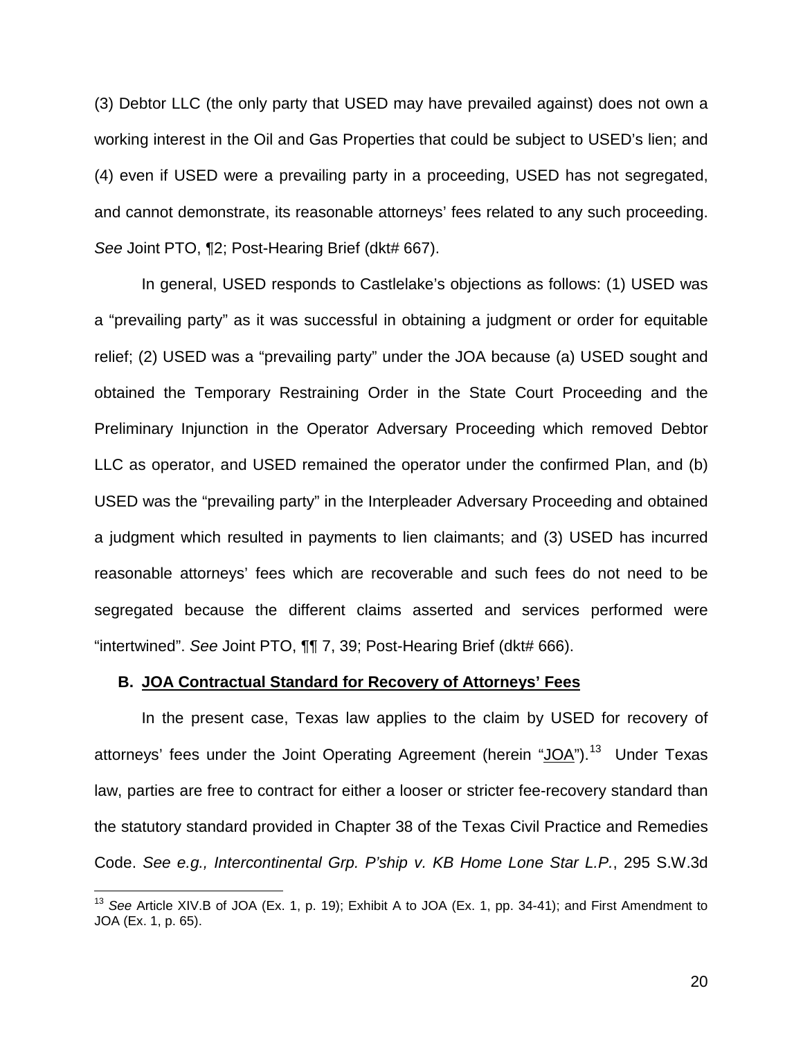(3) Debtor LLC (the only party that USED may have prevailed against) does not own a working interest in the Oil and Gas Properties that could be subject to USED's lien; and (4) even if USED were a prevailing party in a proceeding, USED has not segregated, and cannot demonstrate, its reasonable attorneys' fees related to any such proceeding. *See* Joint PTO, ¶2; Post-Hearing Brief (dkt# 667).

In general, USED responds to Castlelake's objections as follows: (1) USED was a "prevailing party" as it was successful in obtaining a judgment or order for equitable relief; (2) USED was a "prevailing party" under the JOA because (a) USED sought and obtained the Temporary Restraining Order in the State Court Proceeding and the Preliminary Injunction in the Operator Adversary Proceeding which removed Debtor LLC as operator, and USED remained the operator under the confirmed Plan, and (b) USED was the "prevailing party" in the Interpleader Adversary Proceeding and obtained a judgment which resulted in payments to lien claimants; and (3) USED has incurred reasonable attorneys' fees which are recoverable and such fees do not need to be segregated because the different claims asserted and services performed were "intertwined". *See* Joint PTO, ¶¶ 7, 39; Post-Hearing Brief (dkt# 666).

#### **B. JOA Contractual Standard for Recovery of Attorneys' Fees**

 $\overline{\phantom{a}}$ 

In the present case, Texas law applies to the claim by USED for recovery of attorneys' fees under the Joint Operating Agreement (herein "JOA").<sup>13</sup> Under Texas law, parties are free to contract for either a looser or stricter fee-recovery standard than the statutory standard provided in Chapter 38 of the Texas Civil Practice and Remedies Code. *See e.g., Intercontinental Grp. P'ship v. KB Home Lone Star L.P.*, 295 S.W.3d

<sup>13</sup> *See* Article XIV.B of JOA (Ex. 1, p. 19); Exhibit A to JOA (Ex. 1, pp. 34-41); and First Amendment to JOA (Ex. 1, p. 65).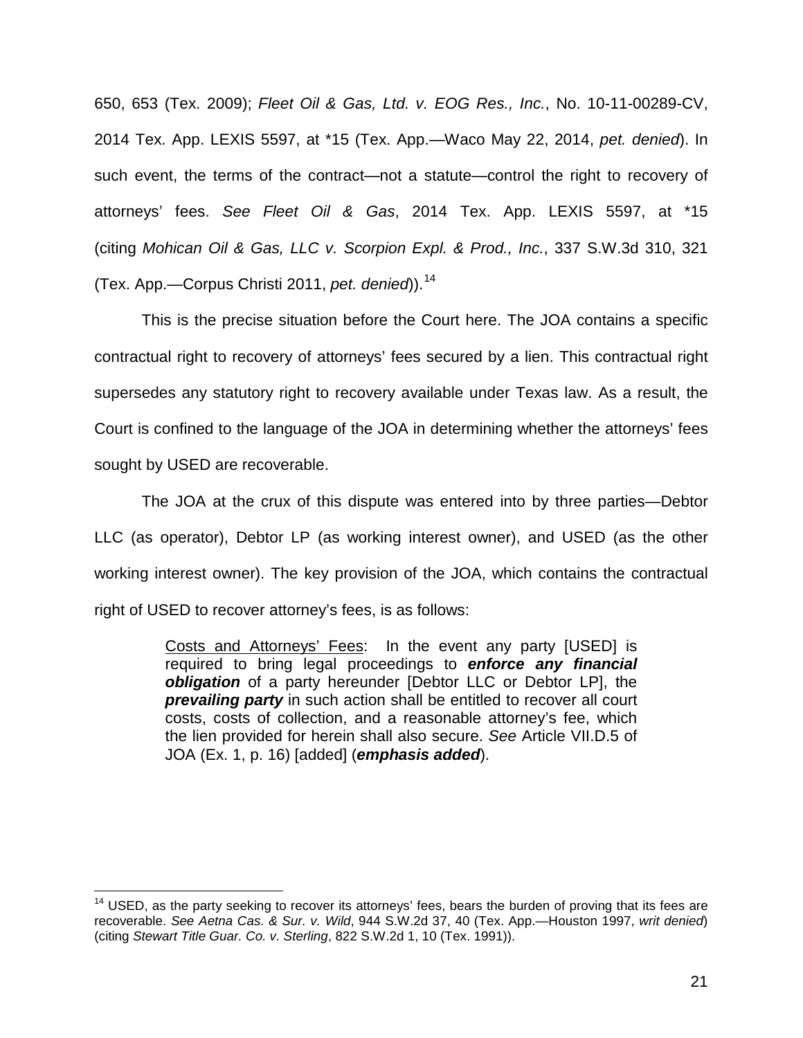650, 653 (Tex. 2009); *Fleet Oil & Gas, Ltd. v. EOG Res., Inc.*, No. 10-11-00289-CV, 2014 Tex. App. LEXIS 5597, at \*15 (Tex. App.—Waco May 22, 2014, *pet. denied*). In such event, the terms of the contract—not a statute—control the right to recovery of attorneys' fees. *See Fleet Oil & Gas*, 2014 Tex. App. LEXIS 5597, at \*15 (citing *Mohican Oil & Gas, LLC v. Scorpion Expl. & Prod., Inc.*, 337 S.W.3d 310, 321 (Tex. App.—Corpus Christi 2011, *pet. denied*)).<sup>14</sup>

This is the precise situation before the Court here. The JOA contains a specific contractual right to recovery of attorneys' fees secured by a lien. This contractual right supersedes any statutory right to recovery available under Texas law. As a result, the Court is confined to the language of the JOA in determining whether the attorneys' fees sought by USED are recoverable.

The JOA at the crux of this dispute was entered into by three parties—Debtor LLC (as operator), Debtor LP (as working interest owner), and USED (as the other working interest owner). The key provision of the JOA, which contains the contractual right of USED to recover attorney's fees, is as follows:

> Costs and Attorneys' Fees: In the event any party [USED] is required to bring legal proceedings to *enforce any financial obligation* of a party hereunder [Debtor LLC or Debtor LP], the *prevailing party* in such action shall be entitled to recover all court costs, costs of collection, and a reasonable attorney's fee, which the lien provided for herein shall also secure. *See* Article VII.D.5 of JOA (Ex. 1, p. 16) [added] (*emphasis added*).

 $\overline{\phantom{a}}$  $14$  USED, as the party seeking to recover its attorneys' fees, bears the burden of proving that its fees are recoverable. *See Aetna Cas. & Sur. v. Wild*, 944 S.W.2d 37, 40 (Tex. App.—Houston 1997, *writ denied*) (citing *Stewart Title Guar. Co. v. Sterling*, 822 S.W.2d 1, 10 (Tex. 1991)).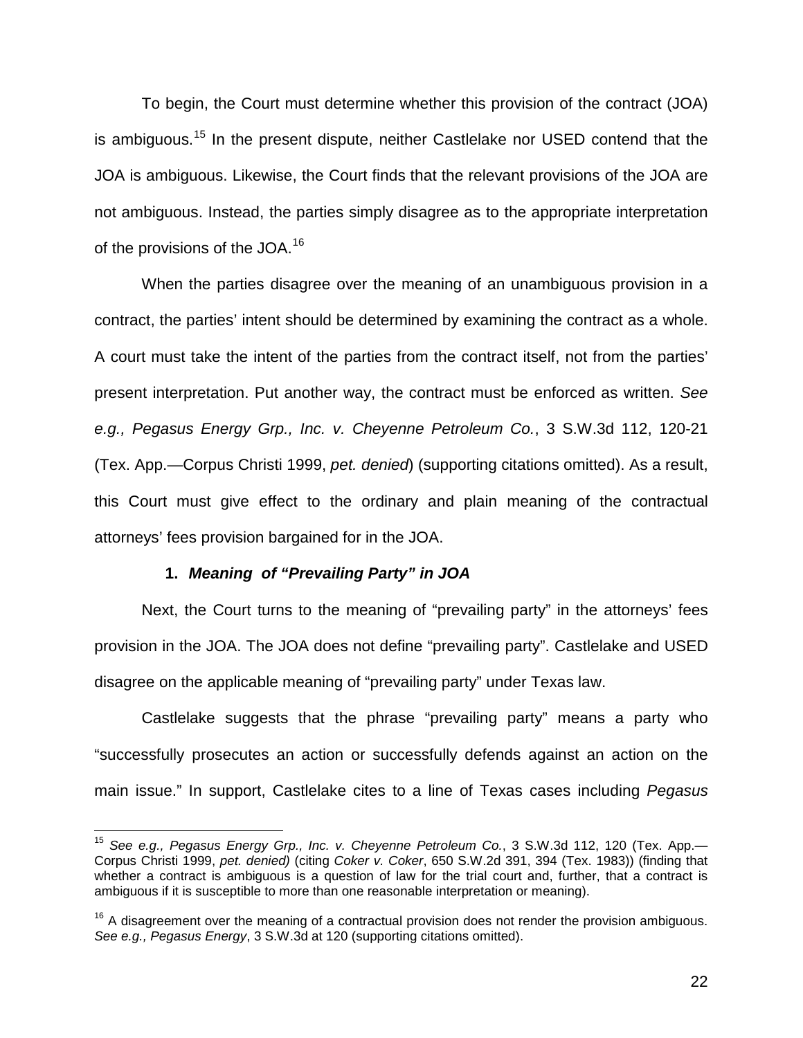To begin, the Court must determine whether this provision of the contract (JOA) is ambiguous.<sup>15</sup> In the present dispute, neither Castlelake nor USED contend that the JOA is ambiguous. Likewise, the Court finds that the relevant provisions of the JOA are not ambiguous. Instead, the parties simply disagree as to the appropriate interpretation of the provisions of the JOA.<sup>16</sup>

When the parties disagree over the meaning of an unambiguous provision in a contract, the parties' intent should be determined by examining the contract as a whole. A court must take the intent of the parties from the contract itself, not from the parties' present interpretation. Put another way, the contract must be enforced as written. *See e.g., Pegasus Energy Grp., Inc. v. Cheyenne Petroleum Co.*, 3 S.W.3d 112, 120-21 (Tex. App.—Corpus Christi 1999, *pet. denied*) (supporting citations omitted). As a result, this Court must give effect to the ordinary and plain meaning of the contractual attorneys' fees provision bargained for in the JOA.

## **1.** *Meaning of "Prevailing Party" in JOA*

 $\overline{\phantom{a}}$ 

Next, the Court turns to the meaning of "prevailing party" in the attorneys' fees provision in the JOA. The JOA does not define "prevailing party". Castlelake and USED disagree on the applicable meaning of "prevailing party" under Texas law.

Castlelake suggests that the phrase "prevailing party" means a party who "successfully prosecutes an action or successfully defends against an action on the main issue." In support, Castlelake cites to a line of Texas cases including *Pegasus* 

<sup>15</sup> *See e.g., Pegasus Energy Grp., Inc. v. Cheyenne Petroleum Co.*, 3 S.W.3d 112, 120 (Tex. App.— Corpus Christi 1999, *pet. denied)* (citing *Coker v. Coker*, 650 S.W.2d 391, 394 (Tex. 1983)) (finding that whether a contract is ambiguous is a question of law for the trial court and, further, that a contract is ambiguous if it is susceptible to more than one reasonable interpretation or meaning).

 $16$  A disagreement over the meaning of a contractual provision does not render the provision ambiguous. *See e.g., Pegasus Energy*, 3 S.W.3d at 120 (supporting citations omitted).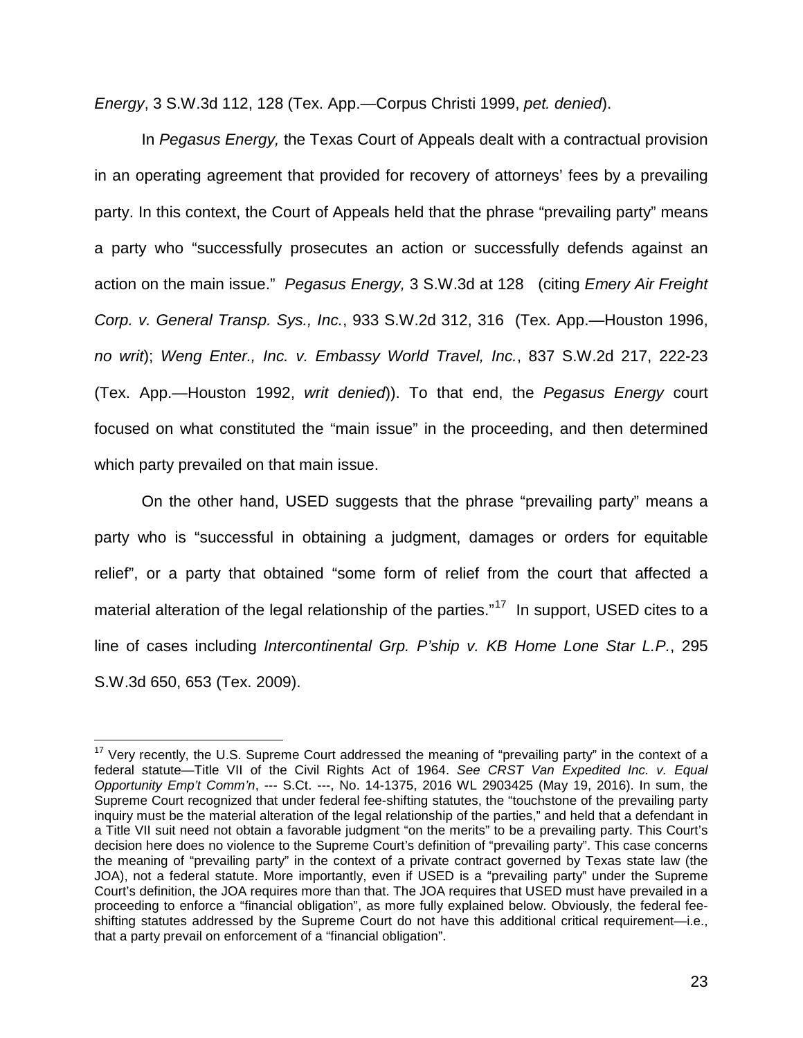*Energy*, 3 S.W.3d 112, 128 (Tex. App.—Corpus Christi 1999, *pet. denied*).

In *Pegasus Energy,* the Texas Court of Appeals dealt with a contractual provision in an operating agreement that provided for recovery of attorneys' fees by a prevailing party. In this context, the Court of Appeals held that the phrase "prevailing party" means a party who "successfully prosecutes an action or successfully defends against an action on the main issue." *Pegasus Energy,* 3 S.W.3d at 128 (citing *Emery Air Freight Corp. v. General Transp. Sys., Inc.*, 933 S.W.2d 312, 316 (Tex. App.—Houston 1996, *no writ*); *Weng Enter., Inc. v. Embassy World Travel, Inc.*, 837 S.W.2d 217, 222-23 (Tex. App.—Houston 1992, *writ denied*)). To that end, the *Pegasus Energy* court focused on what constituted the "main issue" in the proceeding, and then determined which party prevailed on that main issue.

On the other hand, USED suggests that the phrase "prevailing party" means a party who is "successful in obtaining a judgment, damages or orders for equitable relief", or a party that obtained "some form of relief from the court that affected a material alteration of the legal relationship of the parties."<sup>17</sup> In support, USED cites to a line of cases including *Intercontinental Grp. P'ship v. KB Home Lone Star L.P.*, 295 S.W.3d 650, 653 (Tex. 2009).

 $\overline{\phantom{a}}$ 

 $17$  Very recently, the U.S. Supreme Court addressed the meaning of "prevailing party" in the context of a federal statute—Title VII of the Civil Rights Act of 1964. *See CRST Van Expedited Inc. v. Equal Opportunity Emp't Comm'n*, --- S.Ct. ---, No. 14-1375, 2016 WL 2903425 (May 19, 2016). In sum, the Supreme Court recognized that under federal fee-shifting statutes, the "touchstone of the prevailing party inquiry must be the material alteration of the legal relationship of the parties," and held that a defendant in a Title VII suit need not obtain a favorable judgment "on the merits" to be a prevailing party. This Court's decision here does no violence to the Supreme Court's definition of "prevailing party". This case concerns the meaning of "prevailing party" in the context of a private contract governed by Texas state law (the JOA), not a federal statute. More importantly, even if USED is a "prevailing party" under the Supreme Court's definition, the JOA requires more than that. The JOA requires that USED must have prevailed in a proceeding to enforce a "financial obligation", as more fully explained below. Obviously, the federal feeshifting statutes addressed by the Supreme Court do not have this additional critical requirement—i.e., that a party prevail on enforcement of a "financial obligation".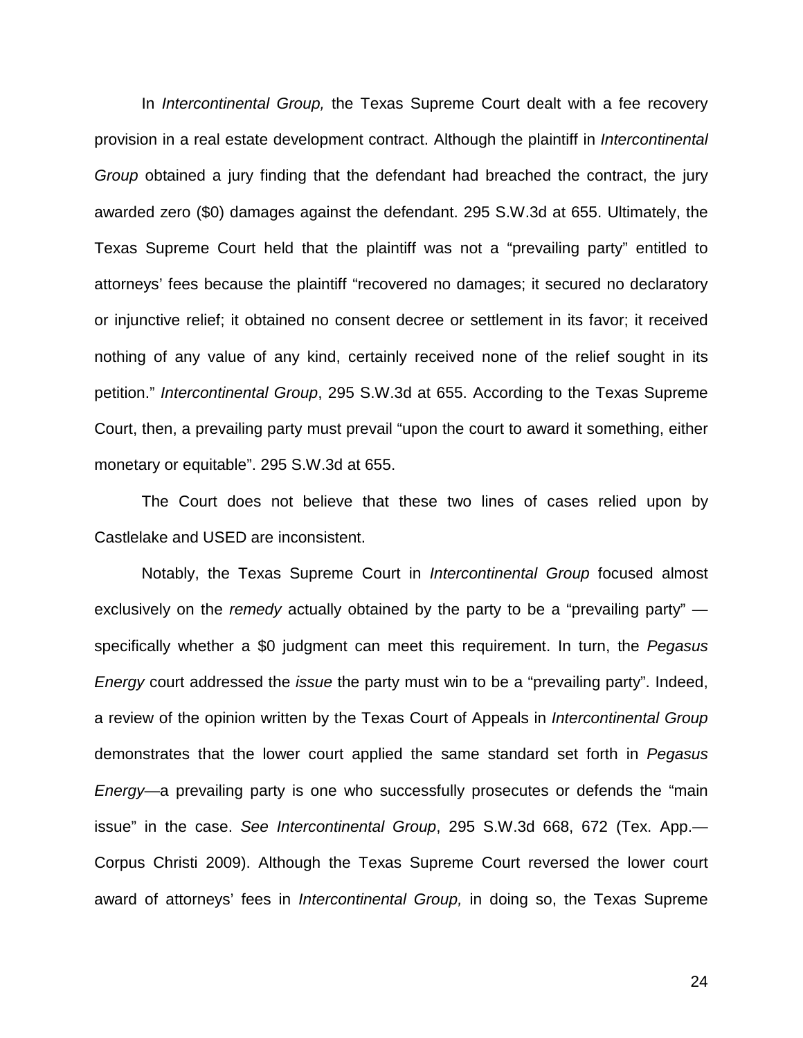In *Intercontinental Group,* the Texas Supreme Court dealt with a fee recovery provision in a real estate development contract. Although the plaintiff in *Intercontinental Group* obtained a jury finding that the defendant had breached the contract, the jury awarded zero (\$0) damages against the defendant. 295 S.W.3d at 655. Ultimately, the Texas Supreme Court held that the plaintiff was not a "prevailing party" entitled to attorneys' fees because the plaintiff "recovered no damages; it secured no declaratory or injunctive relief; it obtained no consent decree or settlement in its favor; it received nothing of any value of any kind, certainly received none of the relief sought in its petition." *Intercontinental Group*, 295 S.W.3d at 655. According to the Texas Supreme Court, then, a prevailing party must prevail "upon the court to award it something, either monetary or equitable". 295 S.W.3d at 655.

The Court does not believe that these two lines of cases relied upon by Castlelake and USED are inconsistent.

Notably, the Texas Supreme Court in *Intercontinental Group* focused almost exclusively on the *remedy* actually obtained by the party to be a "prevailing party" specifically whether a \$0 judgment can meet this requirement. In turn, the *Pegasus Energy* court addressed the *issue* the party must win to be a "prevailing party". Indeed, a review of the opinion written by the Texas Court of Appeals in *Intercontinental Group* demonstrates that the lower court applied the same standard set forth in *Pegasus Energy*—a prevailing party is one who successfully prosecutes or defends the "main issue" in the case. *See Intercontinental Group*, 295 S.W.3d 668, 672 (Tex. App.— Corpus Christi 2009). Although the Texas Supreme Court reversed the lower court award of attorneys' fees in *Intercontinental Group,* in doing so, the Texas Supreme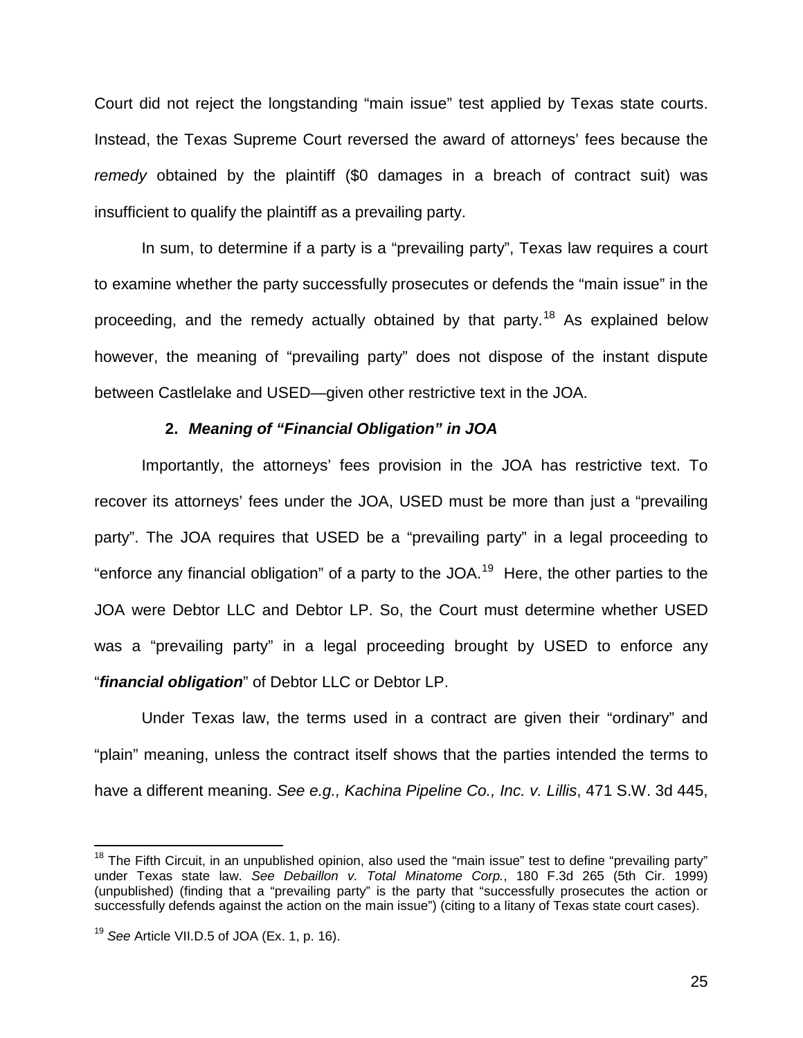Court did not reject the longstanding "main issue" test applied by Texas state courts. Instead, the Texas Supreme Court reversed the award of attorneys' fees because the *remedy* obtained by the plaintiff (\$0 damages in a breach of contract suit) was insufficient to qualify the plaintiff as a prevailing party.

In sum, to determine if a party is a "prevailing party", Texas law requires a court to examine whether the party successfully prosecutes or defends the "main issue" in the proceeding, and the remedy actually obtained by that party.<sup>18</sup> As explained below however, the meaning of "prevailing party" does not dispose of the instant dispute between Castlelake and USED—given other restrictive text in the JOA.

## **2.** *Meaning of "Financial Obligation" in JOA*

Importantly, the attorneys' fees provision in the JOA has restrictive text. To recover its attorneys' fees under the JOA, USED must be more than just a "prevailing party". The JOA requires that USED be a "prevailing party" in a legal proceeding to "enforce any financial obligation" of a party to the JOA.<sup>19</sup> Here, the other parties to the JOA were Debtor LLC and Debtor LP. So, the Court must determine whether USED was a "prevailing party" in a legal proceeding brought by USED to enforce any "*financial obligation*" of Debtor LLC or Debtor LP.

Under Texas law, the terms used in a contract are given their "ordinary" and "plain" meaning, unless the contract itself shows that the parties intended the terms to have a different meaning. *See e.g., Kachina Pipeline Co., Inc. v. Lillis*, 471 S.W. 3d 445,

 $\overline{\phantom{a}}$ 

<sup>&</sup>lt;sup>18</sup> The Fifth Circuit, in an unpublished opinion, also used the "main issue" test to define "prevailing party" under Texas state law. *See Debaillon v. Total Minatome Corp.*, 180 F.3d 265 (5th Cir. 1999) (unpublished) (finding that a "prevailing party" is the party that "successfully prosecutes the action or successfully defends against the action on the main issue") (citing to a litany of Texas state court cases).

<sup>19</sup> *See* Article VII.D.5 of JOA (Ex. 1, p. 16).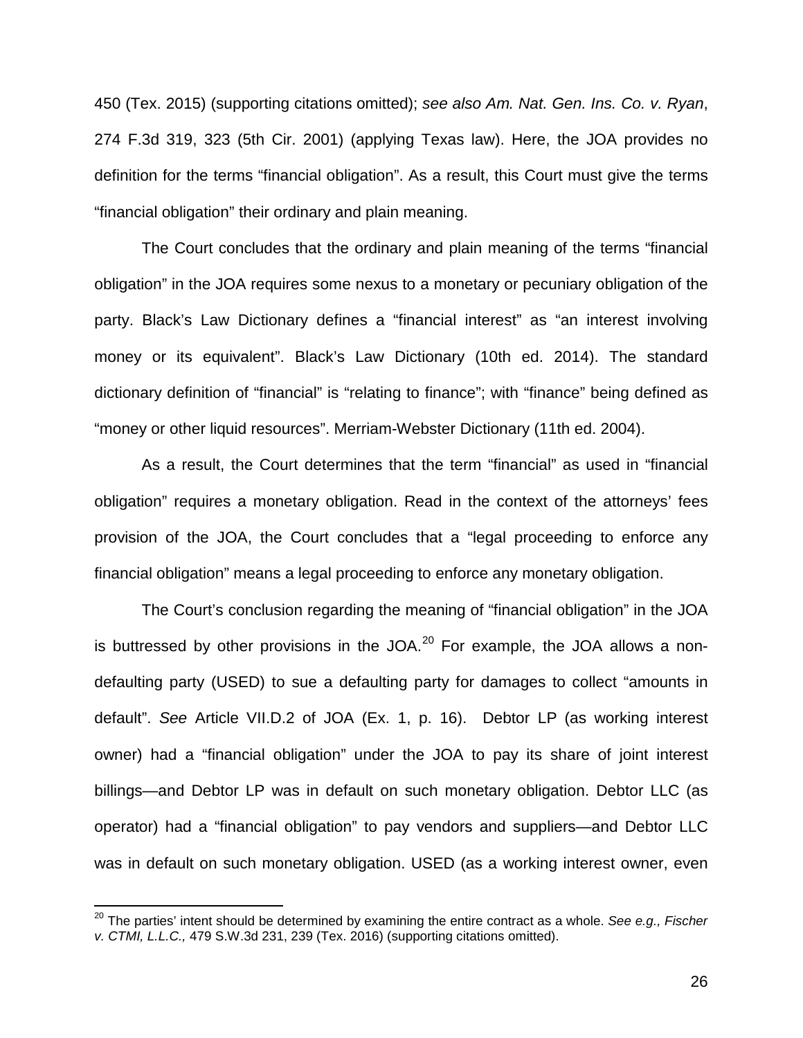450 (Tex. 2015) (supporting citations omitted); *see also Am. Nat. Gen. Ins. Co. v. Ryan*, 274 F.3d 319, 323 (5th Cir. 2001) (applying Texas law). Here, the JOA provides no definition for the terms "financial obligation". As a result, this Court must give the terms "financial obligation" their ordinary and plain meaning.

The Court concludes that the ordinary and plain meaning of the terms "financial obligation" in the JOA requires some nexus to a monetary or pecuniary obligation of the party. Black's Law Dictionary defines a "financial interest" as "an interest involving money or its equivalent". Black's Law Dictionary (10th ed. 2014). The standard dictionary definition of "financial" is "relating to finance"; with "finance" being defined as "money or other liquid resources". Merriam-Webster Dictionary (11th ed. 2004).

As a result, the Court determines that the term "financial" as used in "financial obligation" requires a monetary obligation. Read in the context of the attorneys' fees provision of the JOA, the Court concludes that a "legal proceeding to enforce any financial obligation" means a legal proceeding to enforce any monetary obligation.

The Court's conclusion regarding the meaning of "financial obligation" in the JOA is buttressed by other provisions in the JOA. $^{20}$  For example, the JOA allows a nondefaulting party (USED) to sue a defaulting party for damages to collect "amounts in default". *See* Article VII.D.2 of JOA (Ex. 1, p. 16). Debtor LP (as working interest owner) had a "financial obligation" under the JOA to pay its share of joint interest billings—and Debtor LP was in default on such monetary obligation. Debtor LLC (as operator) had a "financial obligation" to pay vendors and suppliers—and Debtor LLC was in default on such monetary obligation. USED (as a working interest owner, even

 $\overline{a}$ 

<sup>20</sup> The parties' intent should be determined by examining the entire contract as a whole. *See e.g., Fischer v. CTMI, L.L.C.,* 479 S.W.3d 231, 239 (Tex. 2016) (supporting citations omitted).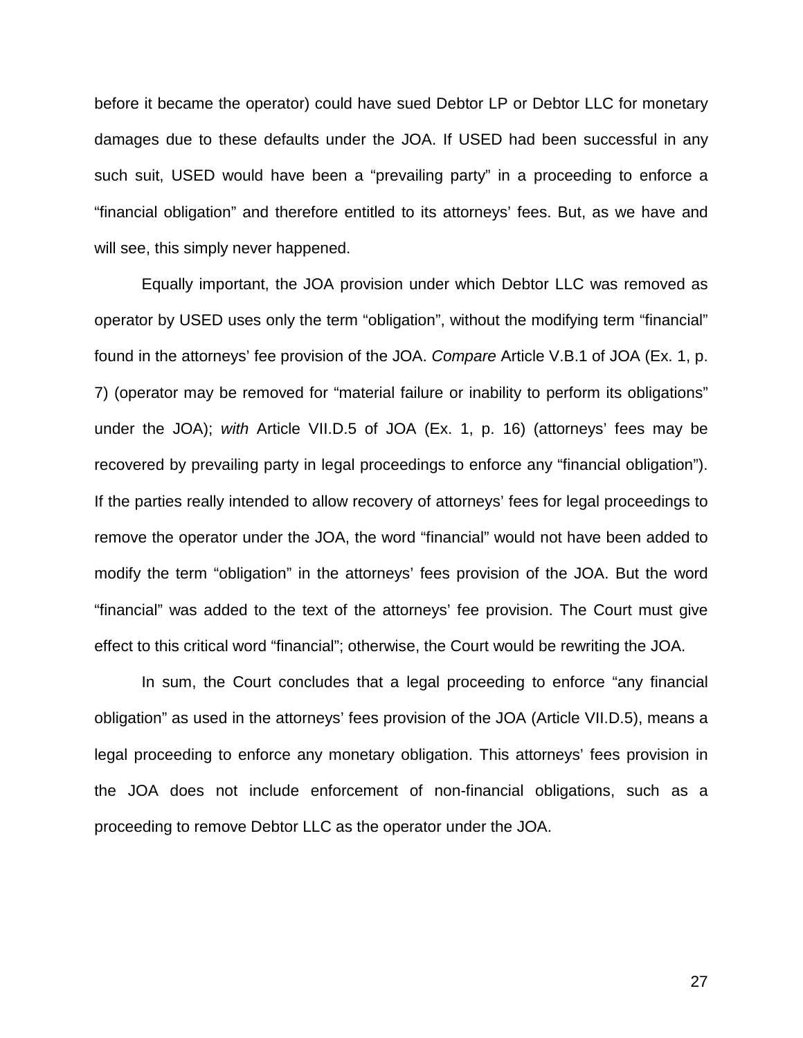before it became the operator) could have sued Debtor LP or Debtor LLC for monetary damages due to these defaults under the JOA. If USED had been successful in any such suit, USED would have been a "prevailing party" in a proceeding to enforce a "financial obligation" and therefore entitled to its attorneys' fees. But, as we have and will see, this simply never happened.

Equally important, the JOA provision under which Debtor LLC was removed as operator by USED uses only the term "obligation", without the modifying term "financial" found in the attorneys' fee provision of the JOA. *Compare* Article V.B.1 of JOA (Ex. 1, p. 7) (operator may be removed for "material failure or inability to perform its obligations" under the JOA); *with* Article VII.D.5 of JOA (Ex. 1, p. 16) (attorneys' fees may be recovered by prevailing party in legal proceedings to enforce any "financial obligation"). If the parties really intended to allow recovery of attorneys' fees for legal proceedings to remove the operator under the JOA, the word "financial" would not have been added to modify the term "obligation" in the attorneys' fees provision of the JOA. But the word "financial" was added to the text of the attorneys' fee provision. The Court must give effect to this critical word "financial"; otherwise, the Court would be rewriting the JOA.

In sum, the Court concludes that a legal proceeding to enforce "any financial obligation" as used in the attorneys' fees provision of the JOA (Article VII.D.5), means a legal proceeding to enforce any monetary obligation. This attorneys' fees provision in the JOA does not include enforcement of non-financial obligations, such as a proceeding to remove Debtor LLC as the operator under the JOA.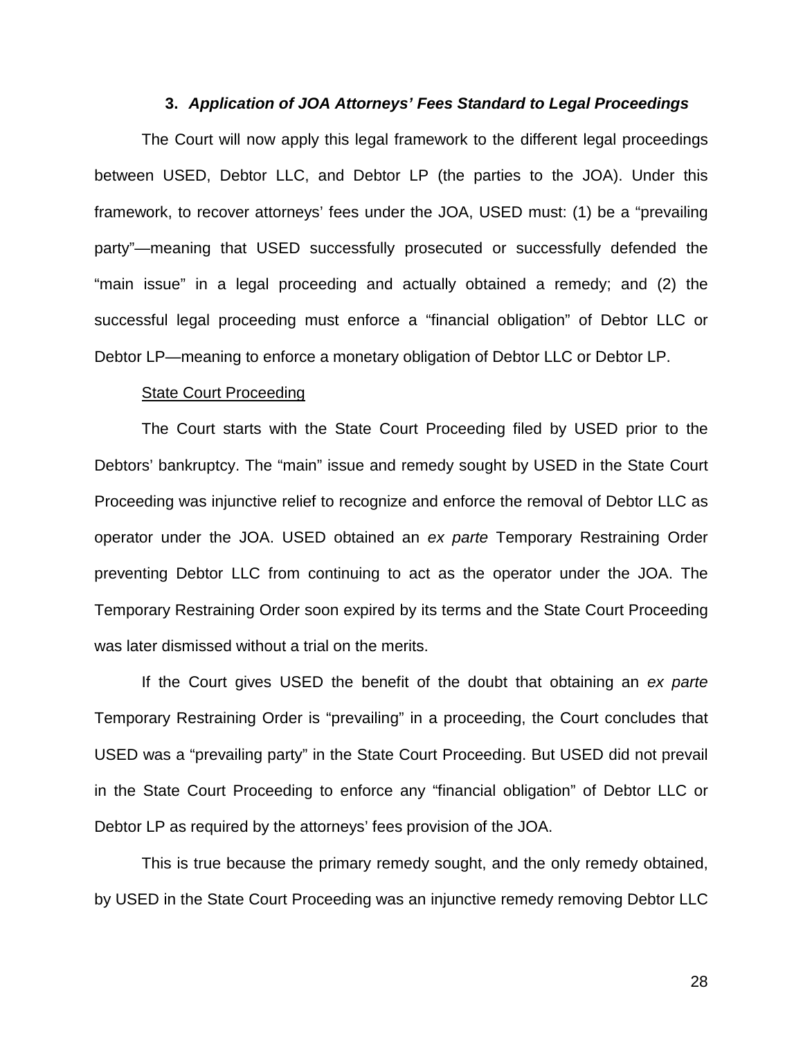### **3.** *Application of JOA Attorneys' Fees Standard to Legal Proceedings*

The Court will now apply this legal framework to the different legal proceedings between USED, Debtor LLC, and Debtor LP (the parties to the JOA). Under this framework, to recover attorneys' fees under the JOA, USED must: (1) be a "prevailing party"—meaning that USED successfully prosecuted or successfully defended the "main issue" in a legal proceeding and actually obtained a remedy; and (2) the successful legal proceeding must enforce a "financial obligation" of Debtor LLC or Debtor LP—meaning to enforce a monetary obligation of Debtor LLC or Debtor LP.

#### **State Court Proceeding**

The Court starts with the State Court Proceeding filed by USED prior to the Debtors' bankruptcy. The "main" issue and remedy sought by USED in the State Court Proceeding was injunctive relief to recognize and enforce the removal of Debtor LLC as operator under the JOA. USED obtained an *ex parte* Temporary Restraining Order preventing Debtor LLC from continuing to act as the operator under the JOA. The Temporary Restraining Order soon expired by its terms and the State Court Proceeding was later dismissed without a trial on the merits.

If the Court gives USED the benefit of the doubt that obtaining an *ex parte* Temporary Restraining Order is "prevailing" in a proceeding, the Court concludes that USED was a "prevailing party" in the State Court Proceeding. But USED did not prevail in the State Court Proceeding to enforce any "financial obligation" of Debtor LLC or Debtor LP as required by the attorneys' fees provision of the JOA.

This is true because the primary remedy sought, and the only remedy obtained, by USED in the State Court Proceeding was an injunctive remedy removing Debtor LLC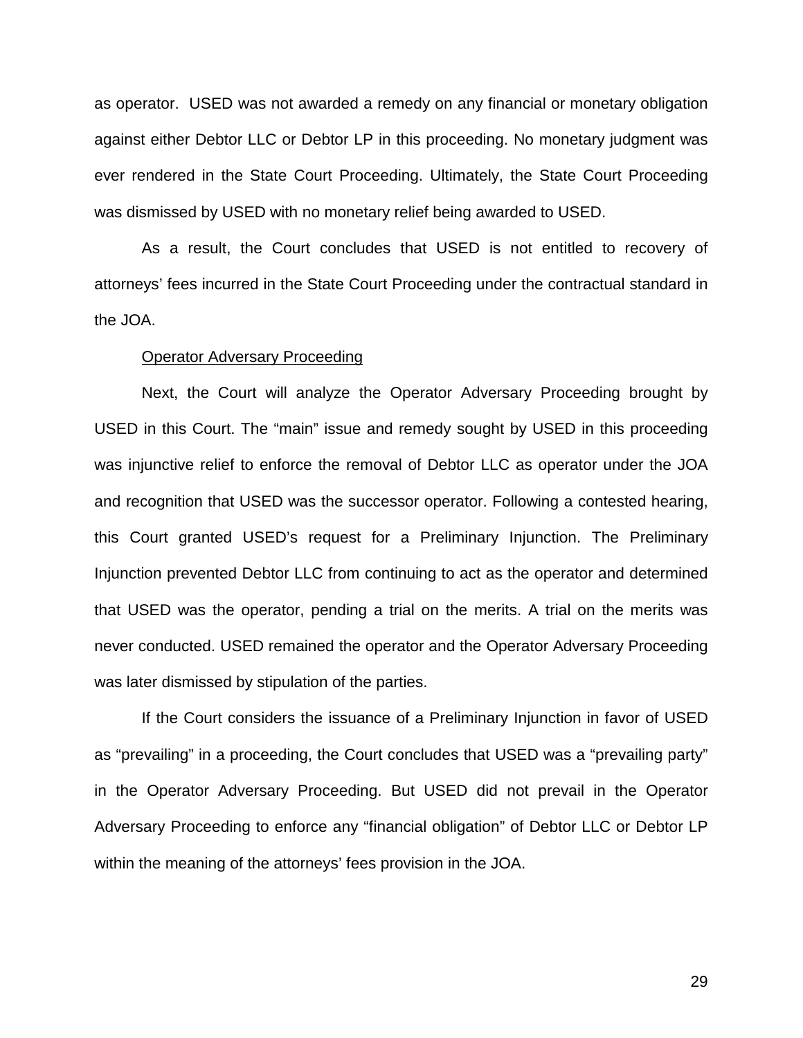as operator. USED was not awarded a remedy on any financial or monetary obligation against either Debtor LLC or Debtor LP in this proceeding. No monetary judgment was ever rendered in the State Court Proceeding. Ultimately, the State Court Proceeding was dismissed by USED with no monetary relief being awarded to USED.

As a result, the Court concludes that USED is not entitled to recovery of attorneys' fees incurred in the State Court Proceeding under the contractual standard in the JOA.

#### Operator Adversary Proceeding

Next, the Court will analyze the Operator Adversary Proceeding brought by USED in this Court. The "main" issue and remedy sought by USED in this proceeding was injunctive relief to enforce the removal of Debtor LLC as operator under the JOA and recognition that USED was the successor operator. Following a contested hearing, this Court granted USED's request for a Preliminary Injunction. The Preliminary Injunction prevented Debtor LLC from continuing to act as the operator and determined that USED was the operator, pending a trial on the merits. A trial on the merits was never conducted. USED remained the operator and the Operator Adversary Proceeding was later dismissed by stipulation of the parties.

If the Court considers the issuance of a Preliminary Injunction in favor of USED as "prevailing" in a proceeding, the Court concludes that USED was a "prevailing party" in the Operator Adversary Proceeding. But USED did not prevail in the Operator Adversary Proceeding to enforce any "financial obligation" of Debtor LLC or Debtor LP within the meaning of the attorneys' fees provision in the JOA.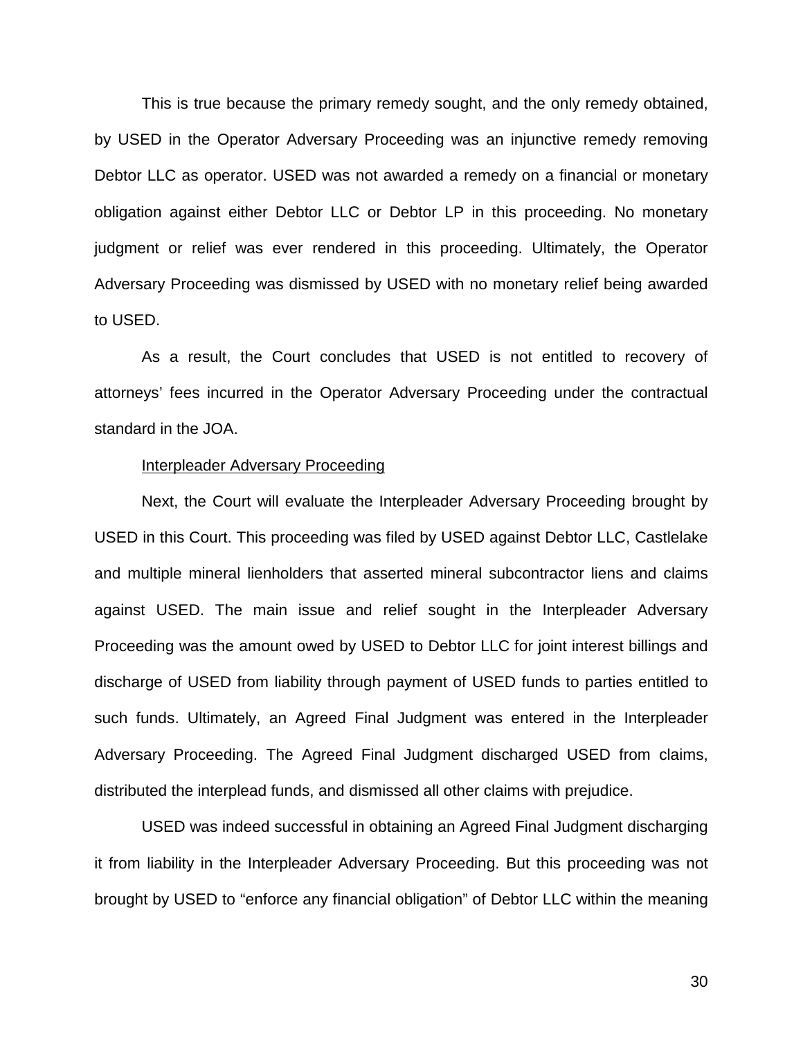This is true because the primary remedy sought, and the only remedy obtained, by USED in the Operator Adversary Proceeding was an injunctive remedy removing Debtor LLC as operator. USED was not awarded a remedy on a financial or monetary obligation against either Debtor LLC or Debtor LP in this proceeding. No monetary judgment or relief was ever rendered in this proceeding. Ultimately, the Operator Adversary Proceeding was dismissed by USED with no monetary relief being awarded to USED.

 As a result, the Court concludes that USED is not entitled to recovery of attorneys' fees incurred in the Operator Adversary Proceeding under the contractual standard in the JOA.

#### Interpleader Adversary Proceeding

Next, the Court will evaluate the Interpleader Adversary Proceeding brought by USED in this Court. This proceeding was filed by USED against Debtor LLC, Castlelake and multiple mineral lienholders that asserted mineral subcontractor liens and claims against USED. The main issue and relief sought in the Interpleader Adversary Proceeding was the amount owed by USED to Debtor LLC for joint interest billings and discharge of USED from liability through payment of USED funds to parties entitled to such funds. Ultimately, an Agreed Final Judgment was entered in the Interpleader Adversary Proceeding. The Agreed Final Judgment discharged USED from claims, distributed the interplead funds, and dismissed all other claims with prejudice.

USED was indeed successful in obtaining an Agreed Final Judgment discharging it from liability in the Interpleader Adversary Proceeding. But this proceeding was not brought by USED to "enforce any financial obligation" of Debtor LLC within the meaning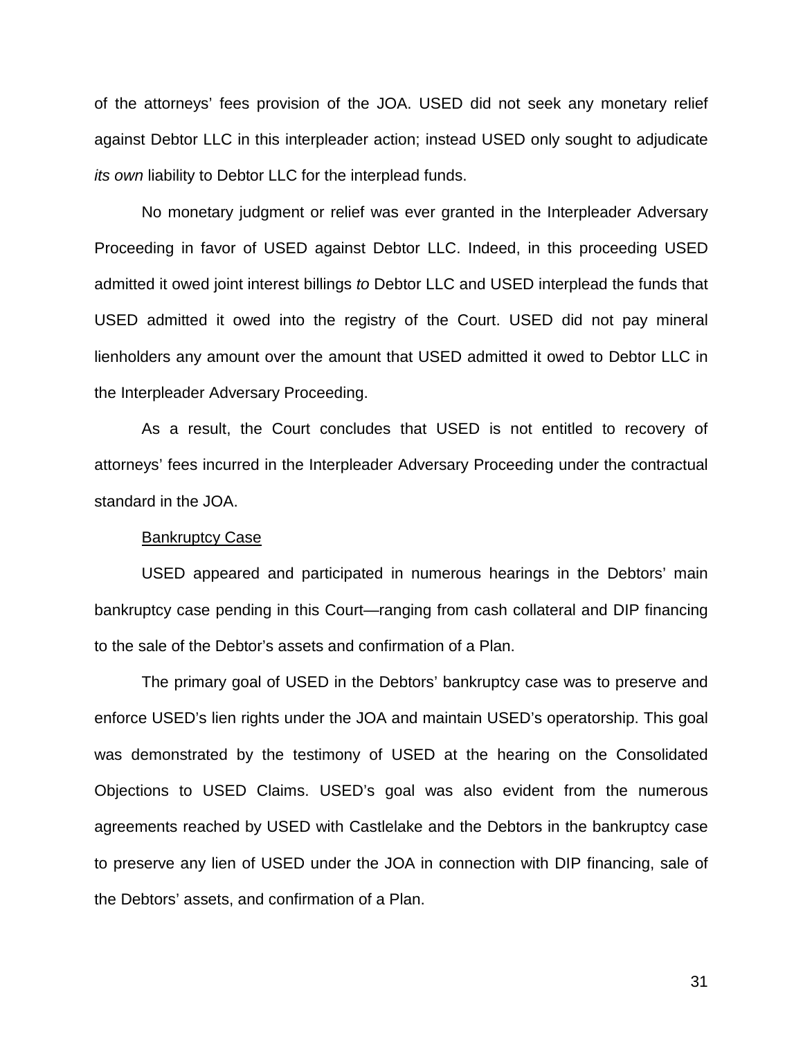of the attorneys' fees provision of the JOA. USED did not seek any monetary relief against Debtor LLC in this interpleader action; instead USED only sought to adjudicate *its own* liability to Debtor LLC for the interplead funds.

No monetary judgment or relief was ever granted in the Interpleader Adversary Proceeding in favor of USED against Debtor LLC. Indeed, in this proceeding USED admitted it owed joint interest billings *to* Debtor LLC and USED interplead the funds that USED admitted it owed into the registry of the Court. USED did not pay mineral lienholders any amount over the amount that USED admitted it owed to Debtor LLC in the Interpleader Adversary Proceeding.

As a result, the Court concludes that USED is not entitled to recovery of attorneys' fees incurred in the Interpleader Adversary Proceeding under the contractual standard in the JOA.

### Bankruptcy Case

USED appeared and participated in numerous hearings in the Debtors' main bankruptcy case pending in this Court—ranging from cash collateral and DIP financing to the sale of the Debtor's assets and confirmation of a Plan.

The primary goal of USED in the Debtors' bankruptcy case was to preserve and enforce USED's lien rights under the JOA and maintain USED's operatorship. This goal was demonstrated by the testimony of USED at the hearing on the Consolidated Objections to USED Claims. USED's goal was also evident from the numerous agreements reached by USED with Castlelake and the Debtors in the bankruptcy case to preserve any lien of USED under the JOA in connection with DIP financing, sale of the Debtors' assets, and confirmation of a Plan.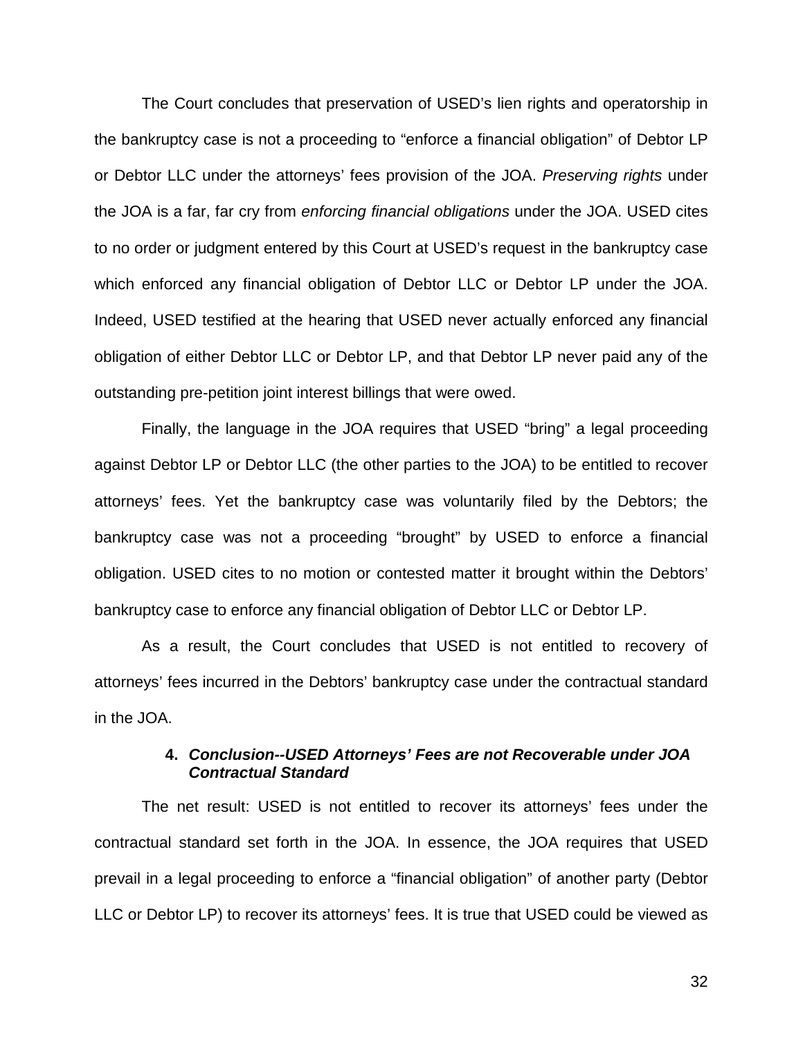The Court concludes that preservation of USED's lien rights and operatorship in the bankruptcy case is not a proceeding to "enforce a financial obligation" of Debtor LP or Debtor LLC under the attorneys' fees provision of the JOA. *Preserving rights* under the JOA is a far, far cry from *enforcing financial obligations* under the JOA. USED cites to no order or judgment entered by this Court at USED's request in the bankruptcy case which enforced any financial obligation of Debtor LLC or Debtor LP under the JOA. Indeed, USED testified at the hearing that USED never actually enforced any financial obligation of either Debtor LLC or Debtor LP, and that Debtor LP never paid any of the outstanding pre-petition joint interest billings that were owed.

Finally, the language in the JOA requires that USED "bring" a legal proceeding against Debtor LP or Debtor LLC (the other parties to the JOA) to be entitled to recover attorneys' fees. Yet the bankruptcy case was voluntarily filed by the Debtors; the bankruptcy case was not a proceeding "brought" by USED to enforce a financial obligation. USED cites to no motion or contested matter it brought within the Debtors' bankruptcy case to enforce any financial obligation of Debtor LLC or Debtor LP.

 As a result, the Court concludes that USED is not entitled to recovery of attorneys' fees incurred in the Debtors' bankruptcy case under the contractual standard in the JOA.

# **4.** *Conclusion--USED Attorneys' Fees are not Recoverable under JOA Contractual Standard*

The net result: USED is not entitled to recover its attorneys' fees under the contractual standard set forth in the JOA. In essence, the JOA requires that USED prevail in a legal proceeding to enforce a "financial obligation" of another party (Debtor LLC or Debtor LP) to recover its attorneys' fees. It is true that USED could be viewed as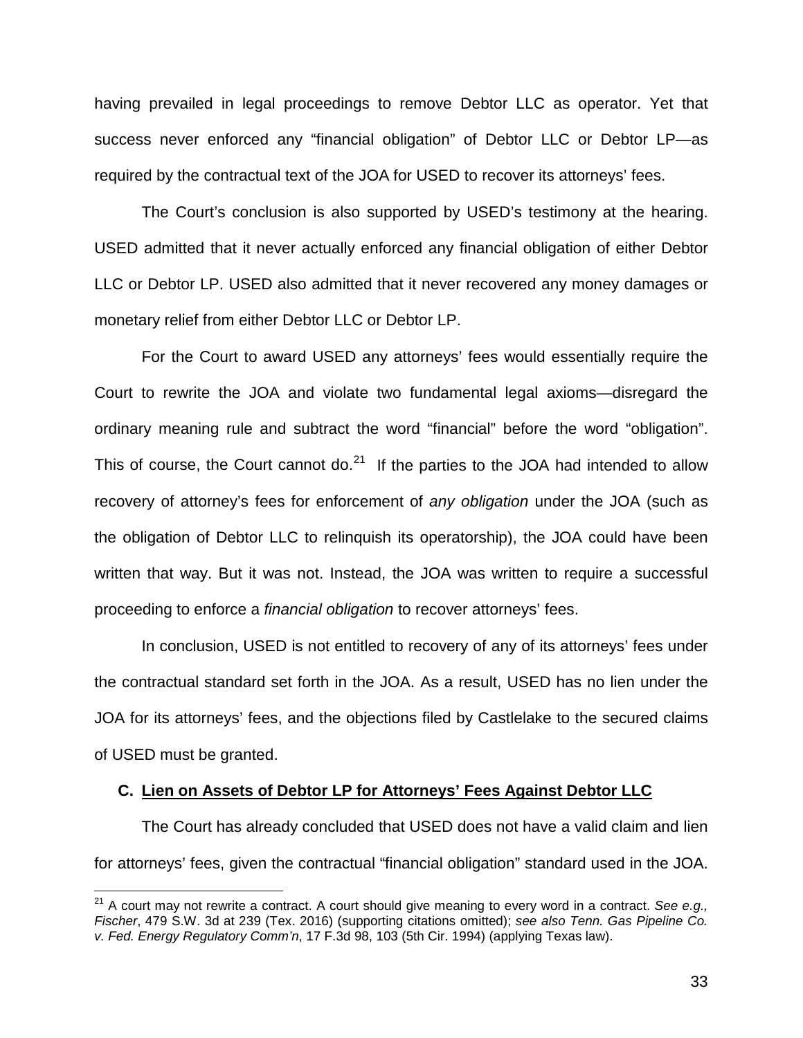having prevailed in legal proceedings to remove Debtor LLC as operator. Yet that success never enforced any "financial obligation" of Debtor LLC or Debtor LP—as required by the contractual text of the JOA for USED to recover its attorneys' fees.

The Court's conclusion is also supported by USED's testimony at the hearing. USED admitted that it never actually enforced any financial obligation of either Debtor LLC or Debtor LP. USED also admitted that it never recovered any money damages or monetary relief from either Debtor LLC or Debtor LP.

For the Court to award USED any attorneys' fees would essentially require the Court to rewrite the JOA and violate two fundamental legal axioms—disregard the ordinary meaning rule and subtract the word "financial" before the word "obligation". This of course, the Court cannot do. $21$  If the parties to the JOA had intended to allow recovery of attorney's fees for enforcement of *any obligation* under the JOA (such as the obligation of Debtor LLC to relinquish its operatorship), the JOA could have been written that way. But it was not. Instead, the JOA was written to require a successful proceeding to enforce a *financial obligation* to recover attorneys' fees.

In conclusion, USED is not entitled to recovery of any of its attorneys' fees under the contractual standard set forth in the JOA. As a result, USED has no lien under the JOA for its attorneys' fees, and the objections filed by Castlelake to the secured claims of USED must be granted.

## **C. Lien on Assets of Debtor LP for Attorneys' Fees Against Debtor LLC**

 $\overline{\phantom{a}}$ 

The Court has already concluded that USED does not have a valid claim and lien for attorneys' fees, given the contractual "financial obligation" standard used in the JOA.

<sup>21</sup> A court may not rewrite a contract. A court should give meaning to every word in a contract. *See e.g., Fischer*, 479 S.W. 3d at 239 (Tex. 2016) (supporting citations omitted); *see also Tenn. Gas Pipeline Co. v. Fed. Energy Regulatory Comm'n*, 17 F.3d 98, 103 (5th Cir. 1994) (applying Texas law).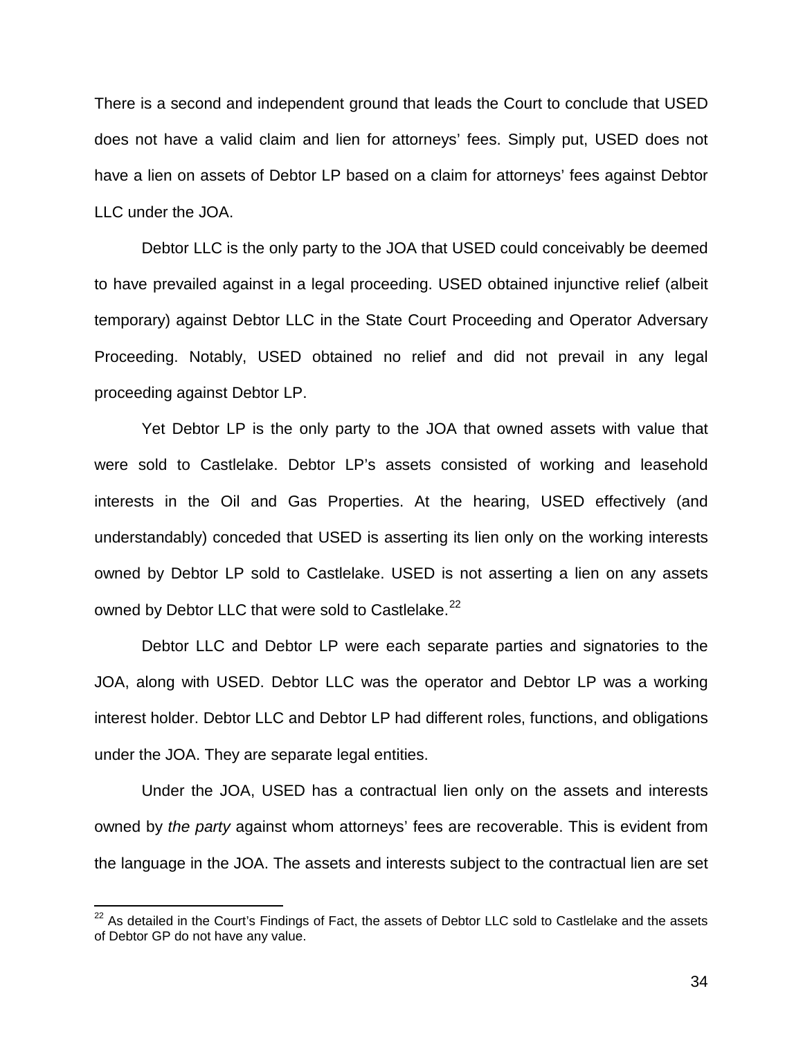There is a second and independent ground that leads the Court to conclude that USED does not have a valid claim and lien for attorneys' fees. Simply put, USED does not have a lien on assets of Debtor LP based on a claim for attorneys' fees against Debtor LLC under the JOA.

 Debtor LLC is the only party to the JOA that USED could conceivably be deemed to have prevailed against in a legal proceeding. USED obtained injunctive relief (albeit temporary) against Debtor LLC in the State Court Proceeding and Operator Adversary Proceeding. Notably, USED obtained no relief and did not prevail in any legal proceeding against Debtor LP.

Yet Debtor LP is the only party to the JOA that owned assets with value that were sold to Castlelake. Debtor LP's assets consisted of working and leasehold interests in the Oil and Gas Properties. At the hearing, USED effectively (and understandably) conceded that USED is asserting its lien only on the working interests owned by Debtor LP sold to Castlelake. USED is not asserting a lien on any assets owned by Debtor LLC that were sold to Castlelake.<sup>22</sup>

Debtor LLC and Debtor LP were each separate parties and signatories to the JOA, along with USED. Debtor LLC was the operator and Debtor LP was a working interest holder. Debtor LLC and Debtor LP had different roles, functions, and obligations under the JOA. They are separate legal entities.

Under the JOA, USED has a contractual lien only on the assets and interests owned by *the party* against whom attorneys' fees are recoverable. This is evident from the language in the JOA. The assets and interests subject to the contractual lien are set

 $\overline{\phantom{a}}$ 

 $22$  As detailed in the Court's Findings of Fact, the assets of Debtor LLC sold to Castlelake and the assets of Debtor GP do not have any value.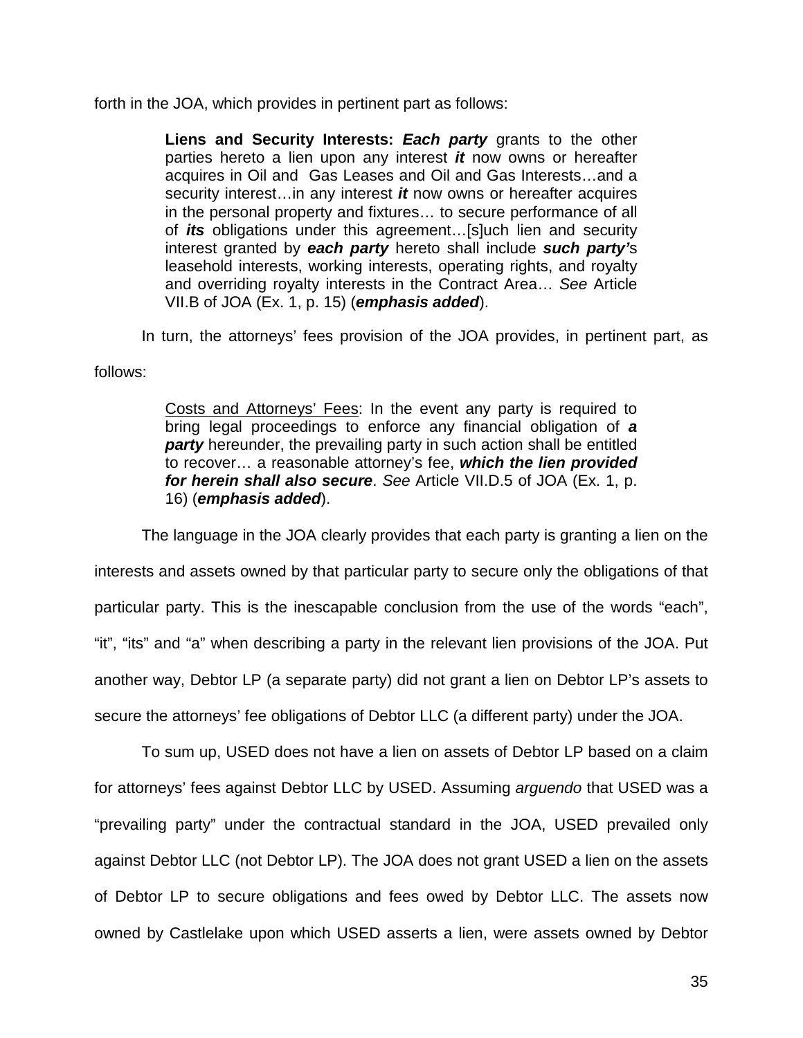forth in the JOA, which provides in pertinent part as follows:

**Liens and Security Interests:** *Each party* grants to the other parties hereto a lien upon any interest *it* now owns or hereafter acquires in Oil and Gas Leases and Oil and Gas Interests…and a security interest…in any interest *it* now owns or hereafter acquires in the personal property and fixtures… to secure performance of all of *its* obligations under this agreement…[s]uch lien and security interest granted by *each party* hereto shall include *such party'*s leasehold interests, working interests, operating rights, and royalty and overriding royalty interests in the Contract Area… *See* Article VII.B of JOA (Ex. 1, p. 15) (*emphasis added*).

In turn, the attorneys' fees provision of the JOA provides, in pertinent part, as

follows:

Costs and Attorneys' Fees: In the event any party is required to bring legal proceedings to enforce any financial obligation of *a party* hereunder, the prevailing party in such action shall be entitled to recover… a reasonable attorney's fee, *which the lien provided for herein shall also secure*. *See* Article VII.D.5 of JOA (Ex. 1, p. 16) (*emphasis added*).

The language in the JOA clearly provides that each party is granting a lien on the interests and assets owned by that particular party to secure only the obligations of that particular party. This is the inescapable conclusion from the use of the words "each", "it", "its" and "a" when describing a party in the relevant lien provisions of the JOA. Put another way, Debtor LP (a separate party) did not grant a lien on Debtor LP's assets to secure the attorneys' fee obligations of Debtor LLC (a different party) under the JOA.

To sum up, USED does not have a lien on assets of Debtor LP based on a claim for attorneys' fees against Debtor LLC by USED. Assuming *arguendo* that USED was a "prevailing party" under the contractual standard in the JOA, USED prevailed only against Debtor LLC (not Debtor LP). The JOA does not grant USED a lien on the assets of Debtor LP to secure obligations and fees owed by Debtor LLC. The assets now owned by Castlelake upon which USED asserts a lien, were assets owned by Debtor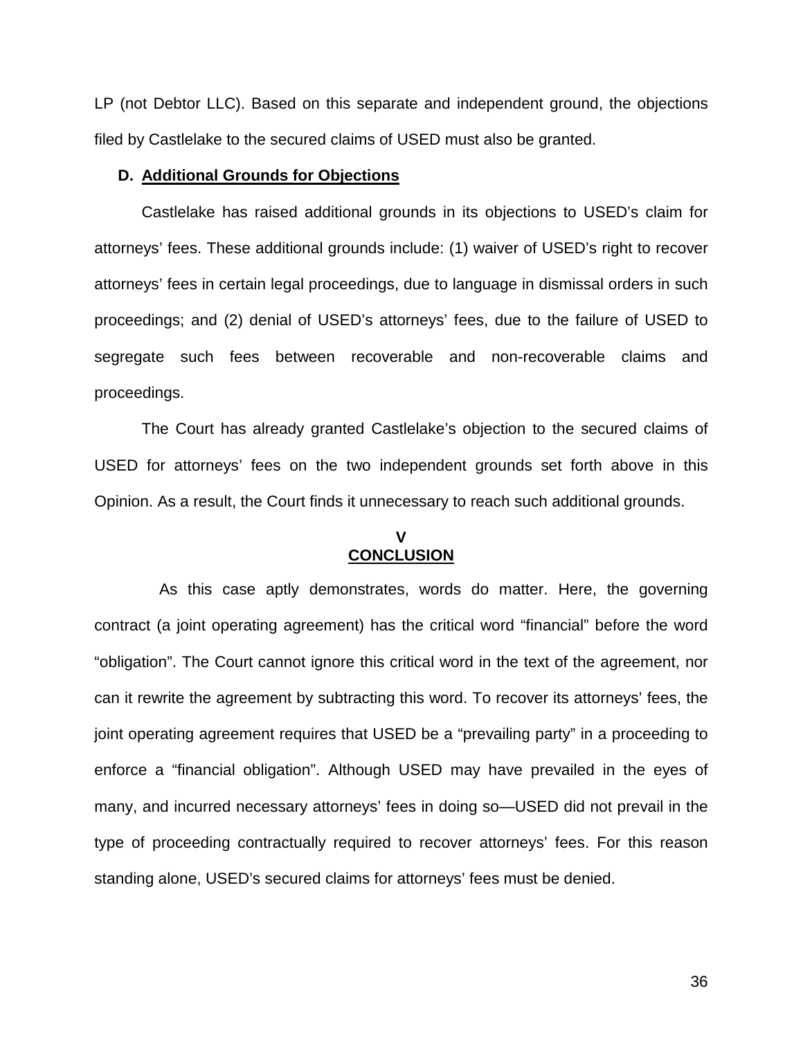LP (not Debtor LLC). Based on this separate and independent ground, the objections filed by Castlelake to the secured claims of USED must also be granted.

### **D. Additional Grounds for Objections**

Castlelake has raised additional grounds in its objections to USED's claim for attorneys' fees. These additional grounds include: (1) waiver of USED's right to recover attorneys' fees in certain legal proceedings, due to language in dismissal orders in such proceedings; and (2) denial of USED's attorneys' fees, due to the failure of USED to segregate such fees between recoverable and non-recoverable claims and proceedings.

The Court has already granted Castlelake's objection to the secured claims of USED for attorneys' fees on the two independent grounds set forth above in this Opinion. As a result, the Court finds it unnecessary to reach such additional grounds.

# **V CONCLUSION**

 As this case aptly demonstrates, words do matter. Here, the governing contract (a joint operating agreement) has the critical word "financial" before the word "obligation". The Court cannot ignore this critical word in the text of the agreement, nor can it rewrite the agreement by subtracting this word. To recover its attorneys' fees, the joint operating agreement requires that USED be a "prevailing party" in a proceeding to enforce a "financial obligation". Although USED may have prevailed in the eyes of many, and incurred necessary attorneys' fees in doing so—USED did not prevail in the type of proceeding contractually required to recover attorneys' fees. For this reason standing alone, USED's secured claims for attorneys' fees must be denied.